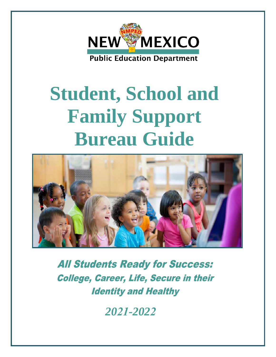

# **Student, School and Family Support Bureau Guide**



**All Students Ready for Success: College, Career, Life, Secure in their Identity and Healthy** 

*2021-2022*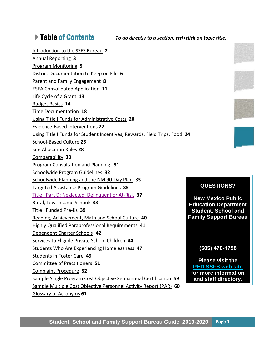Table of Contents *To go directly to a section, ctrl+click on topic title.*

[Introduction to the SSFS](#page-2-0) Bureau **2** [Annual Reporting](#page-3-0) **3** [Program Monitoring](#page-5-0) **5** [District Documentation to Keep on File](#page-6-0) **6** Parent [and Family Engagement](#page-8-0) **8**  [ESEA Consolidated Application](#page-11-0) **11** [Life Cycle of a Grant](#page-13-0) **13** [Budget Basics](#page-14-0) **14**  [Time Documentation](#page-18-0) **18** [Using Title I Funds for Administrative Costs](#page-20-0) **20** [Evidence-Based Interventions](#page-22-0) **22** Using Title I [Funds for Student Incentives, Rewards, Field Trips, Food](#page-24-0) **24**  [School-Based Culture](#page-26-0) **26** Site Allocation Rules **28** [Comparability](#page-30-0) **30** [Program Consultation and Planning](#page-31-0) **31** Schoolwide [Program Guidelines](#page-32-0) **32** [Schoolwide Planning and the NM 90-Day Plan](#page-33-0) **33** [Targeted Assistance Program Guidelines](#page-35-0) **35** Title I [Part D: Neglected, Delinquent or At-Risk](#page-37-0) **37**  [Rural, Low-Income Schools](#page-38-0) **38** [Title I Funded Pre-Ks](#page-39-0) **39** [Reading, Achievement, Math and School Culture](#page-40-0) **40** [Highly Qualified Paraprofessional Requirements](#page-41-0) **41** [Dependent Charter Schools](#page-42-0) **42** [Services to Eligible Private School Children](#page-44-0) **44** [Students Who Are Experiencing Homelessness](#page-47-0) **47** [Students in Foster Care](#page-49-0) **49** [Committee of Practitioners](#page-51-0) **51** [Complaint Procedure](#page-52-0) **52** [Sample Single Program Cost Objective Semiannual Certification](#page-59-0) **59** [Sample Multiple Cost Objective Personnel Activity Report \(PAR\)](#page-60-0) **60** Glossary [of Acronyms](#page-61-0) **61 QUESTIONS?**



**New Mexico Public Education Department Student, School and Family Support Bureau**

# **(505) 470-1758**

**Please visit the [PED SSFS](https://webnew.ped.state.nm.us/bureaus/title-i/) web site for more information and staff directory.**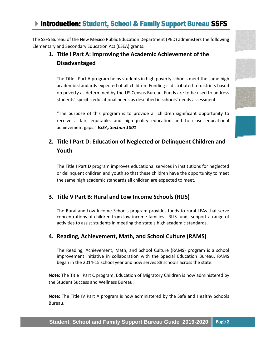# <span id="page-2-0"></span>**Introduction: Student, School & Family Support Bureau SSFS**

The SSFS Bureau of the New Mexico Public Education Department (PED) administers the following Elementary and Secondary Education Act (ESEA) grants:

# **1. Title I Part A: Improving the Academic Achievement of the Disadvantaged**

The Title I Part A program helps students in high poverty schools meet the same high academic standards expected of all children. Funding is distributed to districts based on poverty as determined by the US Census Bureau. Funds are to be used to address students' specific educational needs as described in schools' needs assessment.

"The purpose of this program is to provide all children significant opportunity to receive a fair, equitable, and high-quality education and to close educational achievement gaps." *ESSA, Section 1001*

# **2. Title I Part D: Education of Neglected or Delinquent Children and Youth**

The Title I Part D program improves educational services in institutions for neglected or delinquent children and youth so that these children have the opportunity to meet the same high academic standards all children are expected to meet.

# **3. Title V Part B: Rural and Low Income Schools (RLIS)**

The Rural and Low-Income Schools program provides funds to rural LEAs that serve concentrations of children from low-income families. RLIS funds support a range of activities to assist students in meeting the state's high academic standards.

# **4. Reading, Achievement, Math, and School Culture (RAMS)**

The Reading, Achievement, Math, and School Culture (RAMS) program is a school improvement initiative in collaboration with the Special Education Bureau. RAMS began in the 2014-15 school year and now serves 88 schools across the state.

**Note:** The Title I Part C program, Education of Migratory Children is now administered by the Student Success and Wellness Bureau.

**Note:** The Title IV Part A program is now administered by the Safe and Healthy Schools Bureau.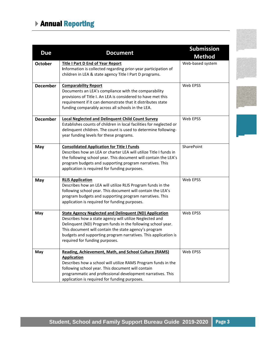# <span id="page-3-0"></span>Annual Reporting

| <b>Due</b>      | <b>Document</b>                                                                                                                                                                                                                                                                                                                                      | <b>Submission</b><br><b>Method</b> |
|-----------------|------------------------------------------------------------------------------------------------------------------------------------------------------------------------------------------------------------------------------------------------------------------------------------------------------------------------------------------------------|------------------------------------|
| <b>October</b>  | <b>Title I Part D End of Year Report</b><br>Information is collected regarding prior-year participation of<br>children in LEA & state agency Title I Part D programs.                                                                                                                                                                                | Web-based system                   |
| <b>December</b> | <b>Comparability Report</b><br>Documents an LEA's compliance with the comparability<br>provisions of Title I. An LEA is considered to have met this<br>requirement if it can demonstrate that it distributes state<br>funding comparably across all schools in the LEA.                                                                              | Web EPSS                           |
| <b>December</b> | <b>Local Neglected and Delinquent Child Count Survey</b><br>Establishes counts of children in local facilities for neglected or<br>delinquent children. The count is used to determine following-<br>year funding levels for these programs.                                                                                                         | Web EPSS                           |
| May             | <b>Consolidated Application for Title I Funds</b><br>Describes how an LEA or charter LEA will utilize Title I funds in<br>the following school year. This document will contain the LEA's<br>program budgets and supporting program narratives. This<br>application is required for funding purposes.                                                | SharePoint                         |
| May             | <b>RLIS Application</b><br>Describes how an LEA will utilize RLIS Program funds in the<br>following school year. This document will contain the LEA's<br>program budgets and supporting program narratives. This<br>application is required for funding purposes.                                                                                    | Web EPSS                           |
| May             | <b>State Agency Neglected and Delinquent (ND) Application</b><br>Describes how a state agency will utilize Neglected and<br>Delinquent (ND) Program funds in the following school year.<br>This document will contain the state agency's program<br>budgets and supporting program narratives. This application is<br>required for funding purposes. | Web EPSS                           |
| May             | Reading, Achievement, Math, and School Culture (RAMS)<br><b>Application</b><br>Describes how a school will utilize RAMS Program funds in the<br>following school year. This document will contain<br>programmatic and professional development narratives. This<br>application is required for funding purposes.                                     | Web EPSS                           |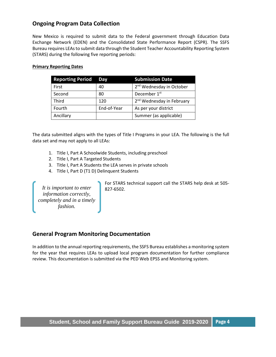# **Ongoing Program Data Collection**

New Mexico is required to submit data to the Federal government through Education Data Exchange Network (EDEN) and the Consolidated State Performance Report (CSPR). The SSFS Bureau requires LEAs to submit data through the Student Teacher Accountability Reporting System (STARS) during the following five reporting periods:

#### **Primary Reporting Dates**

| <b>Reporting Period</b> | Dav         | <b>Submission Date</b>                |
|-------------------------|-------------|---------------------------------------|
| First                   | 40          | 2 <sup>nd</sup> Wednesday in October  |
| Second                  | 80          | December 1 <sup>st</sup>              |
| Third                   | 120         | 2 <sup>nd</sup> Wednesday in February |
| Fourth                  | End-of-Year | As per your district                  |
| Ancillary               |             | Summer (as applicable)                |

The data submitted aligns with the types of Title I Programs in your LEA. The following is the full data set and may not apply to all LEAs:

- 1. Title I, Part A Schoolwide Students, including preschool
- 2. Title I, Part A Targeted Students
- 3. Title I, Part A Students the LEA serves in private schools
- 4. Title I, Part D (T1 D) Delinquent Students

*It is important to enter information correctly, completely and in a timely fashion.*

For STARS technical support call the STARS help desk at 505- 827-6502.

# **General Program Monitoring Documentation**

In addition to the annual reporting requirements, the SSFS Bureau establishes a monitoring system for the year that requires LEAs to upload local program documentation for further compliance review. This documentation is submitted via the PED Web EPSS and Monitoring system.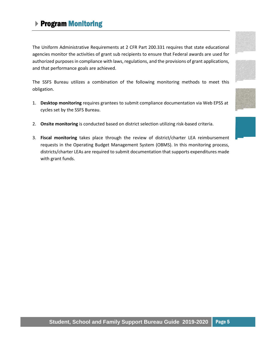# <span id="page-5-0"></span>▶ Program Monitoring

The Uniform Administrative Requirements at 2 CFR Part 200.331 requires that state educational agencies monitor the activities of grant sub recipients to ensure that Federal awards are used for authorized purposes in compliance with laws, regulations, and the provisions of grant applications, and that performance goals are achieved.

The SSFS Bureau utilizes a combination of the following monitoring methods to meet this obligation.

- 1. **Desktop monitoring** requires grantees to submit compliance documentation via Web EPSS at cycles set by the SSFS Bureau.
- 2. **Onsite monitoring** is conducted based on district selection utilizing risk-based criteria.
- 3. **Fiscal monitoring** takes place through the review of district/charter LEA reimbursement requests in the Operating Budget Management System (OBMS). In this monitoring process, districts/charter LEAs are required to submit documentation that supports expenditures made with grant funds.









# **Student, School and Family Support Bureau Guide 2019-2020** Page 5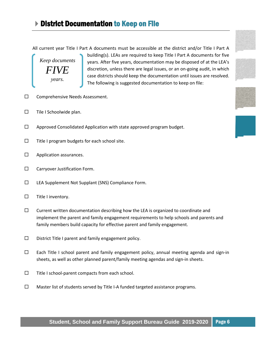<span id="page-6-0"></span>All current year Title I Part A documents must be accessible at the district and/or Title I Part A

*Keep documents FIVE years.*

building(s). LEAs are required to keep Title I Part A documents for five years. After five years, documentation may be disposed of at the LEA's discretion, unless there are legal issues, or an on-going audit, in which case districts should keep the documentation until issues are resolved. The following is suggested documentation to keep on file:

- □ Comprehensive Needs Assessment.
- $\square$  Tile I Schoolwide plan.
- $\Box$  Approved Consolidated Application with state approved program budget.
- $\square$  Title I program budgets for each school site.
- $\square$  Application assurances.
- $\square$  Carryover Justification Form.
- LEA Supplement Not Supplant (SNS) Compliance Form.
- $\square$  Title I inventory.
- $\square$  Current written documentation describing how the LEA is organized to coordinate and implement the parent and family engagement requirements to help schools and parents and family members build capacity for effective parent and family engagement.
- $\square$  District Title I parent and family engagement policy.
- $\Box$  Each Title I school parent and family engagement policy, annual meeting agenda and sign-in sheets, as well as other planned parent/family meeting agendas and sign-in sheets.
- $\Box$  Title I school-parent compacts from each school.
- $\Box$  Master list of students served by Title I-A funded targeted assistance programs.

# **Student, School and Family Support Bureau Guide 2019-2020** Page 6





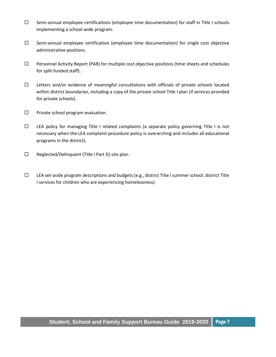- $\square$  Semi-annual employee certifications (employee time documentation) for staff in Title I schools implementing a school-wide program.
- $\square$  Semi-annual employee certification (employee time documentation) for single cost objective administrative positions.
- $\Box$  Personnel Activity Report (PAR) for multiple cost objective positions (time sheets and schedules for split-funded staff).
- $\Box$  Letters and/or evidence of meaningful consultations with officials of private schools located within district boundaries, including a copy of the private school Title I plan (if services provided for private schools).
- $\square$  Private school program evaluation.
- $\Box$  LEA policy for managing Title I related complaints (a separate policy governing Title I is not necessary when the LEA complaint procedure policy is overarching and includes all educational programs in the district).
- $\square$  Neglected/Delinquent (Title I Part D) site plan.
- $\square$  LEA set-aside program descriptions and budgets (e.g., district Title I summer school, district Title I services for children who are experiencing homelessness).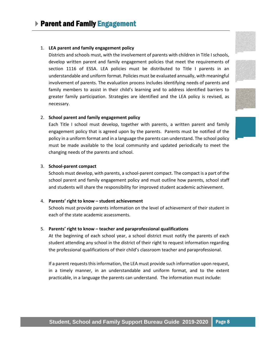#### <span id="page-8-0"></span>1. **LEA parent and family engagement policy**

Districts and schools must, with the involvement of parents with children in Title I schools, develop written parent and family engagement policies that meet the requirements of section 1116 of ESSA. LEA policies must be distributed to Title I parents in an understandable and uniform format. Policies must be evaluated annually, with meaningful involvement of parents. The evaluation process includes identifying needs of parents and family members to assist in their child's learning and to address identified barriers to greater family participation. Strategies are identified and the LEA policy is revised, as necessary[.](https://webnew.ped.state.nm.us/wp-content/uploads/2019/08/Title-I-Parent-Involvement.pdf)





#### 2. **School parent and family engagement policy**

Each Title I school must develop, together with parents, a written parent and family engagement policy that is agreed upon by the parents. Parents must be notified of the policy in a uniform format and in a language the parents can understand. The school policy must be made available to the local community and updated periodically to meet the changing needs of the parents and school.

#### 3. **School-parent compact**

Schools must develop, with parents, a school-parent compact. The compact is a part of the school parent and family engagement policy and must outline how parents, school staff and students will share the responsibility for improved student academic achievement.

#### 4. **Parents' right to know – student achievement**

Schools must provide parents information on the level of achievement of their student in each of the state academic assessments.

#### 5. **Parents' right to know – teacher and paraprofessional qualifications**

At the beginning of each school year, a school district must notify the parents of each student attending any school in the district of their right to request information regarding the professional qualifications of their child's classroom teacher and paraprofessional.

If a parent requests this information, the LEA must provide such information upon request, in a timely manner, in an understandable and uniform format, and to the extent practicable, in a language the parents can understand. The information must include: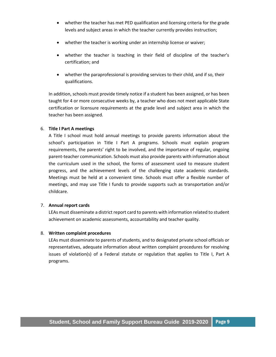- whether the teacher has met PED qualification and licensing criteria for the grade levels and subject areas in which the teacher currently provides instruction;
- whether the teacher is working under an internship license or waiver;
- whether the teacher is teaching in their field of discipline of the teacher's certification; and
- whether the paraprofessional is providing services to their child, and if so, their qualifications.

In addition, schools must provide timely notice if a student has been assigned, or has been taught for 4 or more consecutive weeks by, a teacher who does not meet applicable State certification or licensure requirements at the grade level and subject area in which the teacher has been assigned.

#### 6. **Title I Part A meetings**

A Title I school must hold annual meetings to provide parents information about the school's participation in Title I Part A programs. Schools must explain program requirements, the parents' right to be involved, and the importance of regular, ongoing parent-teacher communication. Schools must also provide parents with information about the curriculum used in the school, the forms of assessment used to measure student progress, and the achievement levels of the challenging state academic standards. Meetings must be held at a convenient time. Schools must offer a flexible number of meetings, and may use Title I funds to provide supports such as transportation and/or childcare.

#### 7. **Annual report cards**

LEAs must disseminate a district report card to parents with information related to student achievement on academic assessments, accountability and teacher quality.

#### 8. **Written complaint procedures**

LEAs must disseminate to parents of students, and to designated private school officials or representatives, adequate information about written complaint procedures for resolving issues of violation(s) of a Federal statute or regulation that applies to Title I, Part A programs.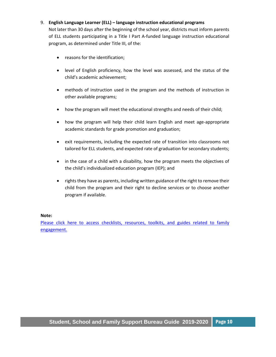#### 9. **English Language Learner (ELL) – language instruction educational programs**

Not later than 30 days after the beginning of the school year, districts must inform parents of ELL students participating in a Title I Part A-funded language instruction educational program, as determined under Title III, of the:

- reasons for the identification;
- level of English proficiency, how the level was assessed, and the status of the child's academic achievement;
- methods of instruction used in the program and the methods of instruction in other available programs;
- how the program will meet the educational strengths and needs of their child;
- how the program will help their child learn English and meet age-appropriate academic standards for grade promotion and graduation;
- exit requirements, including the expected rate of transition into classrooms not tailored for ELL students, and expected rate of graduation for secondary students;
- in the case of a child with a disability, how the program meets the objectives of the child's individualized education program (IEP); and
- rights they have as parents, including written guidance of the right to remove their child from the program and their right to decline services or to choose another program if available.

#### **Note:**

Please click here to access checklists, resources, toolkits, and guides related to family [engagement.](https://webnew.ped.state.nm.us/wp-content/uploads/2019/09/Title-I-Parent-Involvement.pdf)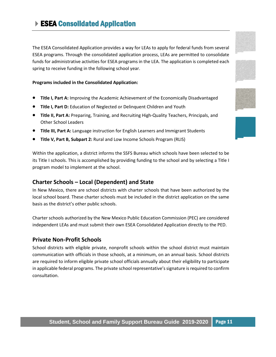<span id="page-11-0"></span>The ESEA Consolidated Application provides a way for LEAs to apply for federal funds from several ESEA programs. Through the consolidated application process, LEAs are permitted to consolidate funds for administrative activities for ESEA programs in the LEA. The application is completed each spring to receive funding in the following school year.

#### **Programs included in the Consolidated Application:**

- **Title I, Part A:** Improving the Academic Achievement of the Economically Disadvantaged
- **Title I, Part D:** Education of Neglected or Delinquent Children and Youth
- **Title II, Part A:** Preparing, Training, and Recruiting High-Quality Teachers, Principals, and Other School Leaders
- **Title III, Part A:** Language instruction for English Learners and Immigrant Students
- **Title V, Part B, Subpart 2:** Rural and Low Income Schools Program (RLIS)

Within the application, a district informs the SSFS Bureau which schools have been selected to be its Title I schools. This is accomplished by providing funding to the school and by selecting a Title I program model to implement at the school.

# **Charter Schools – Local (Dependent) and State**

In New Mexico, there are school districts with charter schools that have been authorized by the local school board. These charter schools must be included in the district application on the same basis as the district's other public schools.

Charter schools authorized by the New Mexico Public Education Commission (PEC) are considered independent LEAs and must submit their own ESEA Consolidated Application directly to the PED.

# **Private Non-Profit Schools**

School districts with eligible private, nonprofit schools within the school district must maintain communication with officials in those schools, at a minimum, on an annual basis. School districts are required to inform eligible private school officials annually about their eligibility to participate in applicable federal programs. The private school representative's signature is required to confirm consultation.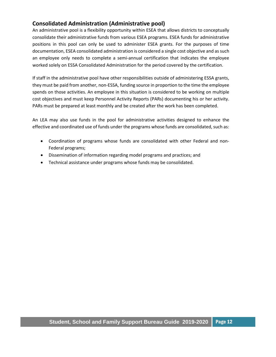# **Consolidated Administration (Administrative pool)**

An administrative pool is a flexibility opportunity within ESEA that allows districts to conceptually consolidate their administrative funds from various ESEA programs. ESEA funds for administrative positions in this pool can only be used to administer ESEA grants. For the purposes of time documentation, ESEA consolidated administration is considered a single cost objective and as such an employee only needs to complete a semi-annual certification that indicates the employee worked solely on ESSA Consolidated Administration for the period covered by the certification.

If staff in the administrative pool have other responsibilities outside of administering ESSA grants, they must be paid from another, non-ESSA, funding source in proportion to the time the employee spends on those activities. An employee in this situation is considered to be working on multiple cost objectives and must keep Personnel Activity Reports (PARs) documenting his or her activity. PARs must be prepared at least monthly and be created after the work has been completed.

An LEA may also use funds in the pool for administrative activities designed to enhance the effective and coordinated use of funds under the programs whose funds are consolidated, such as:

- Coordination of programs whose funds are consolidated with other Federal and non-Federal programs;
- Dissemination of information regarding model programs and practices; and
- Technical assistance under programs whose funds may be consolidated.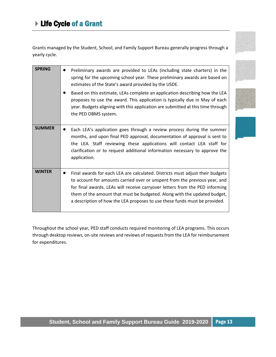<span id="page-13-0"></span>Grants managed by the Student, School, and Family Support Bureau generally progress through a yearly cycle.

| <b>SPRING</b> | Preliminary awards are provided to LEAs (including state charters) in the<br>spring for the upcoming school year. These preliminary awards are based on<br>estimates of the State's award provided by the USDE.<br>Based on this estimate, LEAs complete an application describing how the LEA                                                                                                        |
|---------------|-------------------------------------------------------------------------------------------------------------------------------------------------------------------------------------------------------------------------------------------------------------------------------------------------------------------------------------------------------------------------------------------------------|
|               | proposes to use the award. This application is typically due in May of each<br>year. Budgets aligning with this application are submitted at this time through<br>the PED OBMS system.                                                                                                                                                                                                                |
| <b>SUMMER</b> | Each LEA's application goes through a review process during the summer<br>months, and upon final PED approval, documentation of approval is sent to<br>the LEA. Staff reviewing these applications will contact LEA staff for<br>clarification or to request additional information necessary to approve the<br>application.                                                                          |
| <b>WINTER</b> | Final awards for each LEA are calculated. Districts must adjust their budgets<br>to account for amounts carried over or unspent from the previous year, and<br>for final awards. LEAs will receive carryover letters from the PED informing<br>them of the amount that must be budgeted. Along with the updated budget,<br>a description of how the LEA proposes to use these funds must be provided. |

Throughout the school year, PED staff conducts required monitoring of LEA programs. This occurs through desktop reviews, on-site reviews and reviews of requests from the LEA for reimbursement for expenditures.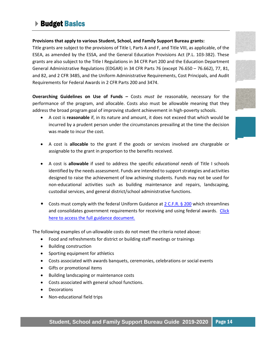# <span id="page-14-0"></span>▶ Budget Basics

#### **Provisions that apply to various Student, School, and Family Support Bureau grants:**

Title grants are subject to the provisions of Title I, Parts A and F, and Title VIII, as applicable, of the ESEA, as amended by the ESSA, and the General Education Provisions Act (P.L. 103-382). These grants are also subject to the Title I Regulations in 34 CFR Part 200 and the Education Department General Administrative Regulations (EDGAR) in 34 CFR Parts 76 (except 76.650 – 76.662), 77, 81, and 82, and 2 CFR 3485, and the Uniform Administrative Requirements, Cost Principals, and Audit Requirements for Federal Awards in 2 CFR Parts 200 and 3474.

**Overarching Guidelines on Use of Funds** *–* Costs *must be* reasonable, necessary for the performance of the program, and allocable. Costs also must be allowable meaning that they address the broad program goal of improving student achievement in high-poverty schools.

- A cost is **reasonable** if, in its nature and amount, it does not exceed that which would be incurred by a prudent person under the circumstances prevailing at the time the decision was made to incur the cost.
- A cost is **allocable** to the grant if the goods or services involved are chargeable or assignable to the grant in proportion to the benefits received.
- A cost is **allowable** if used to address the specific *educational needs* of Title I schools identified by the needs assessment. Funds are intended to support strategies and activities designed to raise the achievement of low achieving students. Funds may not be used for non-educational activities such as building maintenance and repairs, landscaping, custodial services, and general district/school administrative functions.
- Costs must comply with the federal Uniform Guidance at [2 C.F.R. § 200](http://www.ecfr.gov/cgi-bin/text-idx?SID=6214841a79953f26c5c230d72d6b70a1&tpl=/ecfrbrowse/Title02/2cfr200_main_02.tpl) which streamlines and consolidates government requirements for receiving and using federal awards. [Click](http://www2.ed.gov/policy/fund/guid/uniform-guidance/index.html)  [here to access the full](http://www2.ed.gov/policy/fund/guid/uniform-guidance/index.html) guidance document.

The following examples of un-allowable costs do not meet the criteria noted above:

- Food and refreshments for district or building staff meetings or trainings
- Building construction
- Sporting equipment for athletics
- Costs associated with awards banquets, ceremonies, celebrations or social events
- Gifts or promotional items
- Building landscaping or maintenance costs
- Costs associated with general school functions.
- Decorations
- Non-educational field trips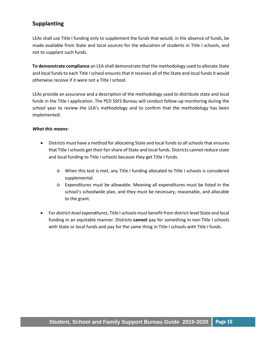# **Supplanting**

LEAs shall use Title I funding only to supplement the funds that would, in the absence of funds, be made available from State and local sources for the education of students in Title I schools, and not to supplant such funds.

**To demonstrate compliance** an LEA shall demonstrate that the methodology used to allocate State and local funds to each Title I school ensures that it receives all of the State and local funds it would otherwise receive if it were not a Title I school.

LEAs provide an assurance and a description of the methodology used to distribute state and local funds in the Title I application. The PED SSFS Bureau will conduct follow-up monitoring during the school year to review the LEA's methodology and to confirm that the methodology has been implemented.

#### *What this means:*

- Districts must have a method for allocating State and local funds to all schools that ensures that Title I schools get their fair share of State and local funds. Districts cannot reduce state and local funding to Title I schools because they get Title I funds.
	- o When this test is met, any Title I funding allocated to Title I schools is considered supplemental.
	- o Expenditures must be allowable. Meaning all expenditures must be listed in the school's schoolwide plan, and they must be necessary, reasonable, and allocable to the grant.
- For *district-level expenditures*, Title I schools must benefit from district-level State and local funding in an equitable manner. Districts **cannot** pay for something in non-Title I schools with State or local funds and pay for the same thing in Title I schools with Title I funds.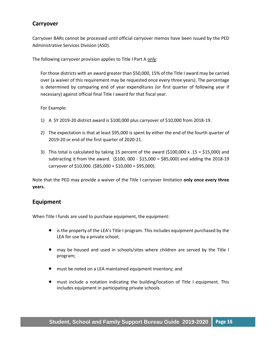# **Carryover**

Carryover BARs cannot be processed until official carryover memos have been issued by the PED Administrative Services Division (ASD).

The following carryover provision applies to Title I Part A only:

For those districts with an award greater than \$50,000, 15% of the Title I award may be carried over (a waiver of this requirement may be requested once every three years). The percentage is determined by comparing end of year expenditures (or first quarter of following year if necessary) against official final Title I award for that fiscal year.

For Example:

- 1) A SY 2019-20 district award is \$100,000 plus carryover of \$10,000 from 2018-19.
- 2) The expectation is that at least \$95,000 is spent by either the end of the fourth quarter of 2019-20 or end of the first quarter of 2020-21.
- 3) This total is calculated by taking 15 percent of the award  $(5100,000 \times .15 = 515,000)$  and subtracting it from the award. (\$100, 000 - \$15,000 = \$85,000) and adding the 2018-19 carryover of \$10,000. (\$85,000 + \$10,000 = \$95,000).

Note that the PED may provide a waiver of the Title I carryover limitation **only once every three years.**

# **Equipment**

When Title I funds are used to purchase equipment, the equipment:

- is the property of the LEA's Title I program. This includes equipment purchased by the LEA for use by a private school;
- may be housed and used in schools/sites where children are served by the Title I program;
- must be noted on a LEA maintained equipment inventory; and
- must include a notation indicating the building/location of Title I equipment. This includes equipment in participating private schools.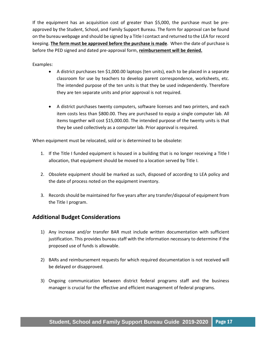If the equipment has an acquisition cost of greater than \$5,000, the purchase must be preapproved by the Student, School, and Family Support Bureau. The form for approval can be found on the bureau webpage and should be signed by a Title I contact and returned to the LEA for record keeping. **The form must be approved before the purchase is made**. When the date of purchase is before the PED signed and dated pre-approval form, **reimbursement will be denied.**

Examples:

- A district purchases ten \$1,000.00 laptops (ten units), each to be placed in a separate classroom for use by teachers to develop parent correspondence, worksheets, etc. The intended purpose of the ten units is that they be used independently. Therefore they are ten separate units and prior approval is not required.
- A district purchases twenty computers, software licenses and two printers, and each item costs less than \$800.00. They are purchased to equip a single computer lab. All items together will cost \$15,000.00. The intended purpose of the twenty units is that they be used collectively as a computer lab. Prior approval is required.

When equipment must be relocated, sold or is determined to be obsolete:

- 1. If the Title I funded equipment is housed in a building that is no longer receiving a Title I allocation, that equipment should be moved to a location served by Title I.
- 2. Obsolete equipment should be marked as such, disposed of according to LEA policy and the date of process noted on the equipment inventory.
- 3. Records should be maintained for five years after any transfer/disposal of equipment from the Title I program.

# **Additional Budget Considerations**

- 1) Any increase and/or transfer BAR must include written documentation with sufficient justification. This provides bureau staff with the information necessary to determine if the proposed use of funds is allowable.
- 2) BARs and reimbursement requests for which required documentation is not received will be delayed or disapproved.
- 3) Ongoing communication between district federal programs staff and the business manager is crucial for the effective and efficient management of federal programs.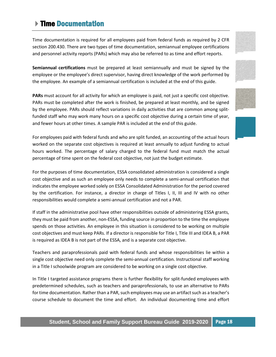# <span id="page-18-0"></span>▶ Time Documentation

Time documentation is required for all employees paid from federal funds as required by 2 CFR section 200.430. There are two types of time documentation, semiannual employee certifications and personnel activity reports (PARs) which may also be referred to as time and effort reports.

**Semiannual certifications** must be prepared at least semiannually and must be signed by the employee or the employee's direct supervisor, having direct knowledge of the work performed by the employee. An example of a semiannual certification is included at the end of this guide.

**PARs** must account for all activity for which an employee is paid, not just a specific cost objective. PARs must be completed after the work is finished, be prepared at least monthly, and be signed by the employee. PARs should reflect variations in daily activities that are common among splitfunded staff who may work many hours on a specific cost objective during a certain time of year, and fewer hours at other times. A sample PAR is included at the end of this guide.

For employees paid with federal funds and who are split funded, an accounting of the actual hours worked on the separate cost objectives is required at least annually to adjust funding to actual hours worked. The percentage of salary charged to the federal fund must match the actual percentage of time spent on the federal cost objective, not just the budget estimate.

For the purposes of time documentation, ESSA consolidated administration is considered a single cost objective and as such an employee only needs to complete a semi-annual certification that indicates the employee worked solely on ESSA Consolidated Administration for the period covered by the certification. For instance, a director in charge of Titles I, II, III and IV with no other responsibilities would complete a semi-annual certification and not a PAR.

If staff in the administrative pool have other responsibilities outside of administering ESSA grants, they must be paid from another, non-ESSA, funding source in proportion to the time the employee spends on those activities. An employee in this situation is considered to be working on multiple cost objectives and must keep PARs. If a director is responsible for Title I, Title III and IDEA B, a PAR is required as IDEA B is not part of the ESSA, and is a separate cost objective.

Teachers and paraprofessionals paid with federal funds and whose responsibilities lie within a single cost objective need only complete the semi-annual certification. Instructional staff working in a Title I schoolwide program are considered to be working on a single cost objective.

In Title I targeted assistance programs there is further flexibility for split-funded employees with predetermined schedules, such as teachers and paraprofessionals, to use an alternative to PARs for time documentation. Rather than a PAR, such employees may use an artifact such as a teacher's course schedule to document the time and effort. An individual documenting time and effort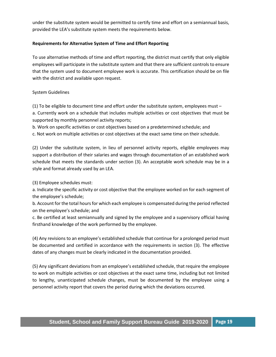under the substitute system would be permitted to certify time and effort on a semiannual basis, provided the LEA's substitute system meets the requirements below.

#### **Requirements for Alternative System of Time and Effort Reporting**

To use alternative methods of time and effort reporting, the district must certify that only eligible employees will participate in the substitute system and that there are sufficient controls to ensure that the system used to document employee work is accurate. This certification should be on file with the district and available upon request.

#### System Guidelines

(1) To be eligible to document time and effort under the substitute system, employees must – a. Currently work on a schedule that includes multiple activities or cost objectives that must be supported by monthly personnel activity reports;

b. Work on specific activities or cost objectives based on a predetermined schedule; and c. Not work on multiple activities or cost objectives at the exact same time on their schedule.

(2) Under the substitute system, in lieu of personnel activity reports, eligible employees may support a distribution of their salaries and wages through documentation of an established work schedule that meets the standards under section (3). An acceptable work schedule may be in a style and format already used by an LEA.

(3) Employee schedules must:

a. Indicate the specific activity or cost objective that the employee worked on for each segment of the employee's schedule;

b. Account for the total hours for which each employee is compensated during the period reflected on the employee's schedule; and

c. Be certified at least semiannually and signed by the employee and a supervisory official having firsthand knowledge of the work performed by the employee.

(4) Any revisions to an employee's established schedule that continue for a prolonged period must be documented and certified in accordance with the requirements in section (3). The effective dates of any changes must be clearly indicated in the documentation provided.

(5) Any significant deviations from an employee's established schedule, that require the employee to work on multiple activities or cost objectives at the exact same time, including but not limited to lengthy, unanticipated schedule changes, must be documented by the employee using a personnel activity report that covers the period during which the deviations occurred.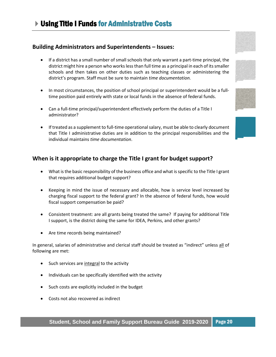# <span id="page-20-0"></span>**Building Administrators and Superintendents – Issues:**

- If a district has a small number of small schools that only warrant a part-time principal, the district might hire a person who works less than full time as a principal in each of its smaller schools and then takes on other duties such as teaching classes or administering the district's program. Staff must be sure to maintain *time documentation.*
- In most circumstances, the position of school principal or superintendent would be a fulltime position paid entirely with state or local funds in the absence of federal funds.
- Can a full-time principal/superintendent effectively perform the duties of a Title I administrator?
- If treated as a supplement to full-time operational salary, must be able to clearly document that Title I administrative duties are in addition to the principal responsibilities and the individual maintains *time documentation*.

### **When is it appropriate to charge the Title I grant for budget support?**

- What is the basic responsibility of the business office and what is specific to the Title I grant that requires additional budget support?
- Keeping in mind the issue of necessary and allocable, how is service level increased by charging fiscal support to the federal grant? In the absence of federal funds, how would fiscal support compensation be paid?
- Consistent treatment: are all grants being treated the same? If paying for additional Title I support, is the district doing the same for IDEA, Perkins, and other grants?
- Are time records being maintained?

In general, salaries of administrative and clerical staff should be treated as "indirect" unless all of following are met:

- Such services are integral to the activity
- Individuals can be specifically identified with the activity
- Such costs are explicitly included in the budget
- Costs not also recovered as indirect





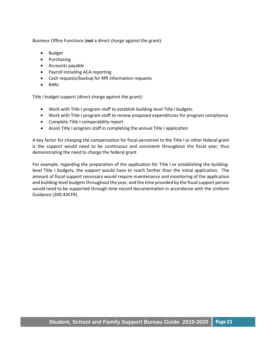Business Office Functions (**not** a direct charge against the grant):

- Budget
- Purchasing
- Accounts payable
- Payroll including ACA reporting
- Cash requests/backup for RfR information requests
- BARs

Title I budget support (direct charge against the grant):

- Work with Title I program staff to establish building level Title I budgets
- Work with Title I program staff to review proposed expenditures for program compliance
- Complete Title I comparability report
- Assist Title I program staff in completing the annual Title I application

A key factor for charging the compensation for fiscal personnel to the Title I or other federal grant is the support would need to be continuous and consistent throughout the fiscal year, thus demonstrating the need to charge the federal grant.

For example, regarding the preparation of the application for Title I or establishing the buildinglevel Title I budgets, the support would have to reach farther than the initial application. The amount of fiscal support necessary would require maintenance and monitoring of the application and building-level budgets throughout the year, and the time provided by the fiscal support person would need to be supported through time record documentation in accordance with the Uniform Guidance (200.43CFR).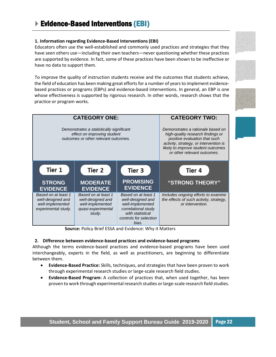#### <span id="page-22-0"></span>**1. Information regarding Evidence-Based Interventions(EBI)**

Educators often use the well-established and commonly used practices and strategies that they have seen others use—including their own teachers—never questioning whether these practices are supported by evidence. In fact, some of these practices have been shown to be ineffective or have no data to support them.

To improve the quality of instruction students receive and the outcomes that students achieve, the field of education has been making great efforts for a number of years to implement evidencebased practices or programs (EBPs) and evidence-based interventions. In general, an EBP is one whose effectiveness is supported by rigorous research. In other words, research shows that the practice or program works.



**Source:** Policy Brief ESSA and Evidence: Why it Matters

#### **2. Difference between evidence-based practices and evidence-based programs**

Although the terms evidence-based practices and evidence-based programs have been used interchangeably, experts in the field, as well as practitioners, are beginning to differentiate between them.

- **Evidence-Based Practice:** Skills, techniques, and strategies that have been proven to work through experimental research studies or large-scale research field studies.
- **Evidence-Based Program:** A collection of practices that, when used together, has been proven to work through experimental research studies or large-scale research field studies.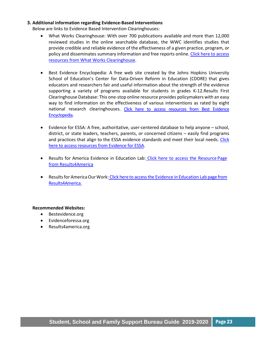#### **3. Additional information regarding Evidence-Based Interventions**

Below are links to Evidence Based Intervention Clearinghouses:

- What Works Clearinghouse: With over 700 publications available and more than 12,000 reviewed studies in the online searchable database, the WWC identifies studies that provide credible and reliable evidence of the effectiveness of a given practice, program, or policy and disseminates summary information an[d free r](https://ies.ed.gov/ncee/wwc/)eports online. Click here to access [resources from What Works Clearinghouse.](https://ies.ed.gov/ncee/wwc/)
- Best Evidence Encyclopedia: A free web site created by the Johns Hopkins University School of Education's Center for Data-Driven Reform in Education (CDDRE) that gives educators and researchers fair and useful information about the strength of the evidence supporting a variety of programs available for students in grades K-12.Results First Clearinghouse Database: This one-stop online resource provides policymakers with an easy way to find information on the effectiveness of various interventions as rated by eight national research clearinghouses. Click here to access resources from Best Evidence [Encyclopedia.](http://www.bestevidence.org/)
- Evidence for ESSA: A free, authoritative, user-centered database to help anyone school, district, or state leaders, teachers, parents, or concerned citizens – easily find programs and practices that align to the ESSA evidence standards and meet their local needs. [Click](https://www.evidenceforessa.org/)  [here to access resources from Evidence](https://www.evidenceforessa.org/) for ESSA.
- Results for America Evidence in Education Lab: [Click here to access the Resource](http://results4america.org/ed-lab-resources/) Page [from Results4America](http://results4america.org/ed-lab-resources/)
- Results for America Our Work: [Click here to access the Evidence](http://results4america.org/%20our-work/evidence-in-education-lab/) in Education Lab page from [Results4America.](http://results4america.org/%20our-work/evidence-in-education-lab/)

#### **Recommended Websites:**

- Bestevidence.org
- Evidenceforessa.org
- Results4america.org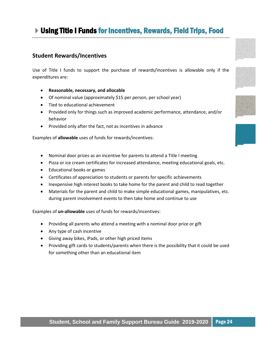# Using Title I Funds for Incentives, Rewards, Field Trips, Food

# **Student Rewards/Incentives**

Use of Title I funds to support the purchase of rewards/incentives is allowable only if the expenditures are:

- **Reasonable, necessary, and allocable**
- Of nominal value (approximately \$15 per person, per school year)
- Tied to educational achievement
- Provided only for things such as improved academic performance, attendance, and/or behavior
- Provided only after the fact, not as incentives in advance

Examples of **allowable** uses of funds for rewards/incentives:

- Nominal door prizes as an incentive for parents to attend a Title I meeting
- Pizza or ice cream certificates for increased attendance, meeting educational goals, etc.
- Educational books or games
- Certificates of appreciation to students or parents for specific achievements
- Inexpensive high interest books to take home for the parent and child to read together
- Materials for the parent and child to make simple educational games, manipulatives, etc. during parent involvement events to then take home and continue to use

Examples of **un-allowable** uses of funds for rewards/incentives:

- Providing all parents who attend a meeting with a nominal door prize or gift
- Any type of cash incentive
- Giving away bikes, iPads, or other high priced items
- Providing gift cards to students/parents when there is the possibility that it could be used for something other than an educational item

<span id="page-24-0"></span>



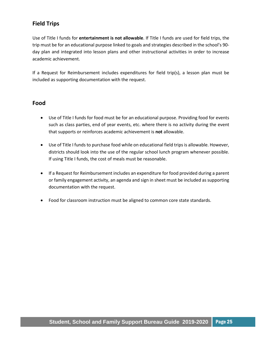# **Field Trips**

Use of Title I funds for **entertainment is not allowable**. If Title I funds are used for field trips, the trip must be for an educational purpose linked to goals and strategies described in the school's 90 day plan and integrated into lesson plans and other instructional activities in order to increase academic achievement.

If a Request for Reimbursement includes expenditures for field trip(s), a lesson plan must be included as supporting documentation with the request.

### **Food**

- Use of Title I funds for food must be for an educational purpose. Providing food for events such as class parties, end of year events, etc. where there is no activity during the event that supports or reinforces academic achievement is **not** allowable.
- Use of Title I funds to purchase food while on educational field trips is allowable. However, districts should look into the use of the regular school lunch program whenever possible. If using Title I funds, the cost of meals must be reasonable.
- If a Request for Reimbursement includes an expenditure for food provided during a parent or family engagement activity, an agenda and sign in sheet must be included as supporting documentation with the request.
- Food for classroom instruction must be aligned to common core state standards.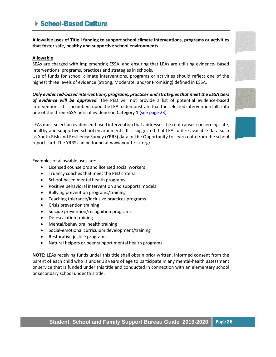# <span id="page-26-0"></span>▶ School-Based Culture

**Allowable uses of Title I funding to support school climate interventions, programs or activities that foster safe, healthy and supportive school environments**

### **Allowable**

SEAs are charged with implementing ESSA, and ensuring that LEAs are utilizing evidence- based interventions, programs, practices and strategies in schools.

Use of funds for school climate interventions, programs or activities should reflect one of the highest three levels of evidence (Strong, Moderate, and/or Promising) defined in ESSA.

*Only evidenced-based interventions, programs, practices and strategies that meet the ESSA tiers of evidence will be approved.* The PED will not provide a list of potential evidence-based interventions. It is incumbent upon the LEA to demonstrate that the selected intervention falls into one of the three ESSA tiers of evidence in Category 1 [\(see page 23\).](#page-22-0)

LEAs must select an evidenced-based intervention that addresses the root causes concerning safe, healthy and supportive school environments. It is suggested that LEAs utilize available data such as Youth Risk and Resiliency Survey (YRRS) data or the Opportunity to Learn data from the school report card. The YRRS can be found at www.youthrisk.org/.

Examples of allowable uses are:

- Licensed counselors and licensed social workers
- Truancy coaches that meet the PED criteria
- School-based mental health programs
- Positive behavioral intervention and supports models
- Bullying prevention programs/training
- Teaching tolerance/inclusive practices programs
- Crisis prevention training
- Suicide prevention/recognition programs
- De-escalation training
- Mental/behavioral health training
- Social-emotional curriculum development/training
- Restorative justice programs
- Natural helpers or peer support mental health programs

**NOTE:** LEAs receiving funds under this title shall obtain prior written, informed consent from the parent of each child who is under 18 years of age to participate in any mental-health assessment or service that is funded under this title and conducted in connection with an elementary school or secondary school under this title.







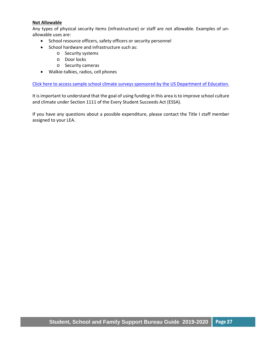#### **Not Allowable**

Any types of physical security items (infrastructure) or staff are not allowable. Examples of unallowable uses are:

- School resource officers, safety officers or security personnel
- School hardware and infrastructure such as:
	- o Security systems
	- o Door locks
	- o Security cameras
- Walkie-talkies, radios, cell phones

[Click here to access sample school climate surveys sponsored by the US Department of Education.](http://www.safesupportivelearning.ed.gov/edscls.)

It is important to understand that the goal of using funding in this area is to improve school culture and climate under Section 1111 of the Every Student Succeeds Act (ESSA).

If you have any questions about a possible expenditure, please contact the Title I staff member assigned to your LEA.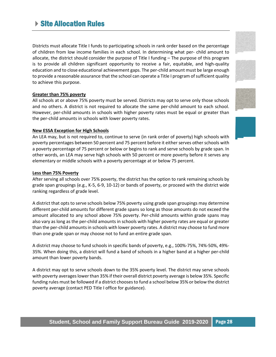# ▶ Site Allocation Rules

Districts must allocate Title I funds to participating schools in rank order based on the percentage of children from low income families in each school. In determining what per- child amount to allocate, the district should consider the purpose of Title I funding – The purpose of this program is to provide all children significant opportunity to receive a fair, equitable, and high-quality education and to close educational achievement gaps. The per-child amount must be large enough to provide a reasonable assurance that the school can operate a Title I program of sufficient quality to achieve this purpose.

#### **Greater than 75% poverty**

All schools at or above 75% poverty must be served. Districts may opt to serve only those schools and no others. A district is not required to allocate the same per-child amount to each school. However, per-child amounts in schools with higher poverty rates must be equal or greater than the per-child amounts in schools with lower poverty rates.

#### **New ESSA Exception for High Schools**

An LEA may, but is not required to, continue to serve (in rank order of poverty) high schools with poverty percentages between 50 percent and 75 percent before it either serves other schools with a poverty percentage of 75 percent or below or begins to rank and serve schools by grade span. In other words, an LEA may serve high schools with 50 percent or more poverty before it serves any elementary or middle schools with a poverty percentage at or below 75 percent.

#### **Less than 75% Poverty**

After serving all schools over 75% poverty, the district has the option to rank remaining schools by grade span groupings (e.g., K-5, 6-9, 10-12) or bands of poverty, or proceed with the district wide ranking regardless of grade level.

A district that opts to serve schools below 75% poverty using grade span groupings may determine different per-child amounts for different grade spans so long as those amounts do not exceed the amount allocated to any school above 75% poverty. Per-child amounts within grade spans may also vary as long as the per-child amounts in schools with higher poverty rates are equal or greater than the per-child amounts in schools with lower poverty rates. A district may choose to fund more than one grade span or may choose not to fund an entire grade span.

A district may choose to fund schools in specific bands of poverty, e.g., 100%-75%, 74%-50%, 49%- 35%. When doing this, a district will fund a band of schools in a higher band at a higher per-child amount than lower poverty bands.

A district may opt to serve schools down to the 35% poverty level. The district may serve schools with poverty averages lower than 35% if their overall district poverty average is below 35%. Specific funding rules must be followed if a district chooses to fund a school below 35% or below the district poverty average (contact PED Title I office for guidance).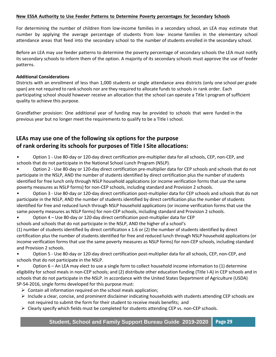#### **New ESSA Authority to Use Feeder Patterns to Determine Poverty percentages for Secondary Schools**

For determining the number of children from low-income families in a secondary school, an LEA may estimate that number by applying the average percentage of students from low- income families in the elementary school attendance areas that feed into the secondary school to the number of students enrolled in the secondary school.

Before an LEA may use feeder patterns to determine the poverty percentage of secondary schools the LEA must notify its secondary schools to inform them of the option. A majority of its secondary schools must approve the use of feeder patterns.

#### **Additional Considerations**

Districts with an enrollment of less than 1,000 students or single attendance area districts (only one school per grade span) are not required to rank schools nor are they required to allocate funds to schools in rank order. Each participating school should however receive an allocation that the school can operate a Title I program of sufficient quality to achieve this purpose.

Grandfather provision: One additional year of funding may be provided to schools that were funded in the previous year but no longer meet the requirements to qualify to be a Title I school.

# **LEAs may use one of the following six options for the purpose of rank ordering its schools for purposes of Title I Site allocations:**

• Option 1 - Use 80-day or 120-day direct certification pre-multiplier data for all schools, CEP, non-CEP, and schools that do not participate in the National School Lunch Program (NSLP).

• Option 2 - Use 80-day or 120-day direct certification pre-multiplier data for CEP schools and schools that do not participate in the NSLP, AND the number of students identified by direct certification plus the number of students identified for free lunch only through NSLP household applications (or income verification forms that use the same poverty measures as NSLP forms) for non-CEP schools, including standard and Provision 2 schools.

• Option 3 - Use 80-day or 120-day direct certification post-multiplier data for CEP schools and schools that do not participate in the NSLP, AND the number of students identified by direct certification plus the number of students identified for free and reduced lunch through NSLP household applications (or income verification forms that use the same poverty measures as NSLP forms) for non-CEP schools, including standard and Provision 2 schools.

• Option 4 – Use 80-day or 120-day direct certification post-multiplier data for CEP

schools and schools that do not participate in the NSLP, AND the higher of a school's

(1) number of students identified by direct certification x 1.6 or (2) the number of students identified by direct certification plus the number of students identified for free and reduced lunch through NSLP household applications (or income verification forms that use the same poverty measures as NSLP forms) for non-CEP schools, including standard and Provision 2 schools.

• Option 5 - Use 80-day or 120-day direct certification post-multiplier data for all schools, CEP, non-CEP, and schools that do not participate in the NSLP.

• Option 6 – An LEA may elect to use a single form to collect household income information to (1) determine eligibility for school meals in non-CEP schools; and (2) distribute other education funding (Title I-A) in CEP schools and in schools that do not participate in the NSLP. In accordance with the United States Department of Agriculture (USDA) SP-54-2016, single forms developed for this purpose must:

- $\triangleright$  Contain all information required on the school meals application;
- $\triangleright$  Include a clear, concise, and prominent disclaimer indicating households with students attending CEP schools are not required to submit the form for their student to receive meals benefits; and
- SSF Program Guide 2019 2020 2020 2020 2020 2020 2020 2020 2020 2020 2020 2020 2020 20  $\triangleright$  Clearly specify which fields must be completed for students attending CEP vs. non-CEP schools.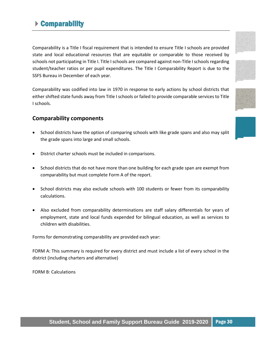# <span id="page-30-0"></span>Comparability

Comparability is a Title I fiscal requirement that is intended to ensure Title I schools are provided state and local educational resources that are equitable or comparable to those received by schools not participating in Title I. Title I schools are compared against non-Title I schools regarding student/teacher ratios or per pupil expenditures. The Title I Comparability Report is due to the SSFS Bureau in December of each year.

Comparability was codified into law in 1970 in response to early actions by school districts that either shifted state funds away from Title I schools or failed to provide comparable services to Title I schools.

# **Comparability components**

- School districts have the option of comparing schools with like grade spans and also may split the grade spans into large and small schools.
- District charter schools must be included in comparisons.
- School districts that do not have more than one building for each grade span are exempt from comparability but must complete Form A of the report.
- School districts may also exclude schools with 100 students or fewer from its comparability calculations.
- Also excluded from comparability determinations are staff salary differentials for years of employment, state and local funds expended for bilingual education, as well as services to children with disabilities.

Forms for demonstrating comparability are provided each year:

FORM A: This summary is required for every district and must include a list of every school in the district (including charters and alternative)

FORM B: Calculations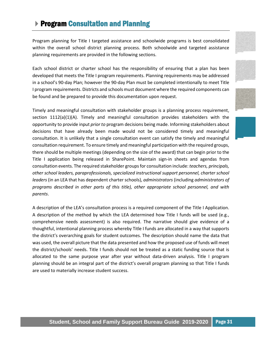# <span id="page-31-0"></span>▶ Program Consultation and Planning

Program planning for Title I targeted assistance and schoolwide programs is best consolidated within the overall school district planning process. Both schoolwide and targeted assistance planning requirements are provided in the following sections.

Each school district or charter school has the responsibility of ensuring that a plan has been developed that meets the Title I program requirements. Planning requirements may be addressed in a school's 90-day Plan; however the 90-day Plan must be completed intentionally to meet Title I program requirements. Districts and schools must document where the required components can be found and be prepared to provide this documentation upon request.

Timely and meaningful consultation with stakeholder groups is a planning process requirement, section  $1112(a)(1)(A)$ . Timely and meaningful consultation provides stakeholders with the opportunity to provide input *prior to* program decisions being made. Informing stakeholders about decisions that have already been made would not be considered timely and meaningful consultation. It is unlikely that a single consultation event can satisfy the timely and meaningful consultation requirement. To ensure timely and meaningful participation with the required groups, there should be multiple meetings (depending on the size of the award) that can begin prior to the Title I application being released in SharePoint. Maintain sign-in sheets and agendas from consultation events. The required stakeholder groups for consultation include: *teachers, principals, other school leaders, paraprofessionals, specialized instructional support personnel, charter school leaders* (in an LEA that has dependent charter schools), *administrators* (including *administrators of programs described in other parts of this title), other appropriate school personnel, and with parents*.

A description of the LEA's consultation process is a required component of the Title I Application. A description of the method by which the LEA determined how Title I funds will be used (e.g., comprehensive needs assessment) is also required. The narrative should give evidence of a thoughtful, intentional planning process whereby Title I funds are allocated in a way that supports the district's overarching goals for student outcomes. The description should name the data that was used, the overall picture that the data presented and how the proposed use of funds will meet the district/schools' needs. Title I funds should not be treated as a static funding source that is allocated to the same purpose year after year without data-driven analysis. Title I program planning should be an integral part of the district's overall program planning so that Title I funds are used to materially increase student success.







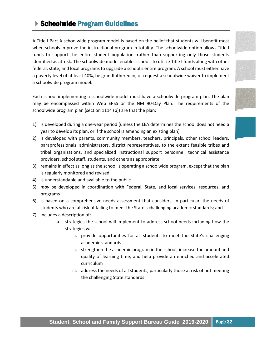# <span id="page-32-0"></span>**Schoolwide Program Guidelines**

A Title I Part A schoolwide program model is based on the belief that students will benefit most when schools improve the instructional program in totality. The schoolwide option allows Title I funds to support the entire student population, rather than supporting only those students identified as at-risk. The schoolwide model enables schools to utilize Title I funds along with other federal, state, and local programs to upgrade a school's entire program. A school must either have a poverty level of at least 40%, be grandfathered in, or request a schoolwide waiver to implement a schoolwide program model.

Each school implementing a schoolwide model must have a schoolwide program plan. The plan may be encompassed within Web EPSS or the NM 90-Day Plan. The requirements of the schoolwide program plan (section 1114 (b)) are that the plan:

- 1) is developed during a one-year period (unless the LEA determines the school does not need a year to develop its plan, or if the school is amending an existing plan)
- 2) is developed with parents, community members, teachers, principals, other school leaders, paraprofessionals, administrators, district representatives, to the extent feasible tribes and tribal organizations, and specialized instructional support personnel, technical assistance providers, school staff, students, and others as appropriate
- 3) remains in effect as long as the school is operating a schoolwide program, except that the plan is regularly monitored and revised
- 4) is understandable and available to the public
- 5) *may* be developed in coordination with Federal, State, and local services, resources, and programs
- 6) is based on a comprehensive needs assessment that considers, in particular, the needs of students who are at-risk of failing to meet the State's challenging academic standards; and
- 7) includes a description of:
	- a. strategies the school will implement to address school needs including how the strategies will
		- i. provide opportunities for all students to meet the State's challenging academic standards
		- ii. strengthen the academic program in the school, increase the amount and quality of learning time, and help provide an enriched and accelerated curriculum
		- iii. address the needs of all students, particularly those at risk of not meeting the challenging State standards



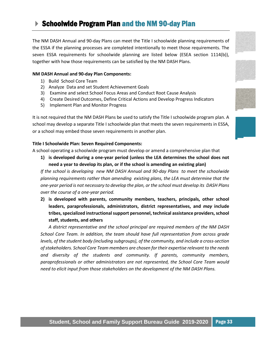# <span id="page-33-0"></span>▶ Schoolwide Program Plan and the NM 90-day Plan

The NM DASH Annual and 90-day Plans can meet the Title I schoolwide planning requirements of the ESSA if the planning processes are completed intentionally to meet those requirements. The seven ESSA requirements for schoolwide planning are listed below (ESEA section 1114(b)), together with how those requirements can be satisfied by the NM DASH Plans.

#### **NM DASH Annual and 90-day Plan Components:**

- 1) Build School Core Team
- 2) Analyze Data and set Student Achievement Goals
- 3) Examine and select School Focus Areas and Conduct Root Cause Analysis
- 4) Create Desired Outcomes, Define Critical Actions and Develop Progress Indicators
- 5) Implement Plan and Monitor Progress

It is not required that the NM DASH Plans be used to satisfy the Title I schoolwide program plan. A school may develop a separate Title I schoolwide plan that meets the seven requirements in ESSA, or a school may embed those seven requirements in another plan.

#### **Title I Schoolwide Plan: Seven Required Components:**

A school operating a schoolwide program must develop or amend a comprehensive plan that

**1) is developed during a one-year period (unless the LEA determines the school does not need a year to develop its plan, or if the school is amending an existing plan)**

*If the school is developing new NM DASH Annual and 90-day Plans to meet the schoolwide planning requirements rather than amending existing plans, the LEA must determine that the one-year period is not necessary to develop the plan, or the school must develop its DASH Plans over the course of a one-year period.*

**2) is developed with parents, community members, teachers, principals, other school leaders, paraprofessionals, administrators, district representatives, and** *may* **include tribes, specialized instructional support personnel, technical assistance providers, school staff, students, and others**

*A district representative and the school principal are required members of the NM DASH School Core Team. In addition, the team should have full representation from across grade levels, of the student body (including subgroups), of the community, and include a cross-section of stakeholders. School Core Team members are chosen for their expertise relevant to the needs and diversity of the students and community. If parents, community members, paraprofessionals or other administrators are not represented, the School Core Team would need to elicit input from those stakeholders on the development of the NM DASH Plans.*







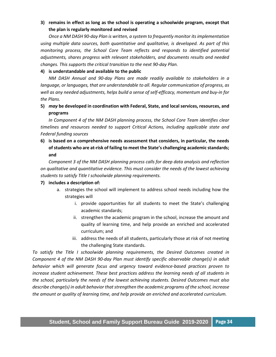### **3) remains in effect as long as the school is operating a schoolwide program, except that the plan is regularly monitored and revised**

*Once a NM DASH 90-day Plan is written, a system to frequently monitor its implementation using multiple data sources, both quantitative and qualitative, is developed. As part of this monitoring process, the School Core Team reflects and responds to identified potential adjustments, shares progress with relevant stakeholders, and documents results and needed changes. This supports the critical transition to the next 90-day Plan.*

#### **4) is understandable and available to the public**

*NM DASH Annual and 90-day Plans are made readily available to stakeholders in a language, or languages, that are understandable to all. Regular communication of progress, as well as any needed adjustments, helps build a sense of self-efficacy, momentum and buy-in for the Plans.*

### **5)** *may* **be developed in coordination with Federal, State, and local services, resources, and programs**

*In Component 4 of the NM DASH planning process, the School Core Team identifies clear timelines and resources needed to support Critical Actions, including applicable state and Federal funding sources*

**6) is based on a comprehensive needs assessment that considers, in particular, the needs of students who are at-risk of failing to meet the State's challenging academic standards; and**

*Component 3 of the NM DASH planning process calls for deep data analysis and reflection on qualitative and quantitative evidence. This must consider the needs of the lowest achieving students to satisfy Title I schoolwide planning requirements.*

#### **7) includes a description of:**

- a. strategies the school will implement to address school needs including how the strategies will
	- i. provide opportunities for all students to meet the State's challenging academic standards;
	- ii. strengthen the academic program in the school, increase the amount and quality of learning time, and help provide an enriched and accelerated curriculum; and
	- iii. address the needs of all students, particularly those at risk of not meeting the challenging State standards.

*To satisfy the Title I schoolwide planning requirements, the Desired Outcomes created in Component 4 of the NM DASH 90-day Plan must identify specific observable change(s) in adult behavior which will generate focus and urgency toward evidence-based practices proven to increase student achievement. These best practices address the learning needs of all students in the school, particularly the needs of the lowest achieving students. Desired Outcomes must also describe change(s) in adult behavior that strengthen the academic programs of the school, increase the amount or quality of learning time, and help provide an enriched and accelerated curriculum.*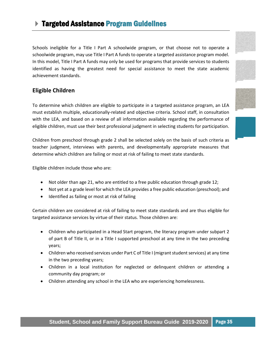# <span id="page-35-0"></span>Targeted Assistance Program Guidelines

Schools ineligible for a Title I Part A schoolwide program, or that choose not to operate a schoolwide program, may use Title I Part A funds to operate a targeted assistance program model. In this model, Title I Part A funds may only be used for programs that provide services to students identified as having the greatest need for special assistance to meet the state academic achievement standards.

# **Eligible Children**

To determine which children are eligible to participate in a targeted assistance program, an LEA must establish multiple, educationally-related and objective criteria. School staff, in consultation with the LEA, and based on a review of all information available regarding the performance of eligible children, must use their best professional judgment in selecting students for participation.

Children from preschool through grade 2 shall be selected solely on the basis of such criteria as teacher judgment, interviews with parents, and developmentally appropriate measures that determine which children are failing or most at risk of failing to meet state standards.

Eligible children include those who are:

- Not older than age 21, who are entitled to a free public education through grade 12;
- Not yet at a grade level for which the LEA provides a free public education (preschool); and
- Identified as failing or most at risk of failing

Certain children are considered at risk of failing to meet state standards and are thus eligible for targeted assistance services by virtue of their status. Those children are:

- Children who participated in a Head Start program, the literacy program under subpart 2 of part B of Title II, or in a Title I supported preschool at any time in the two preceding years;
- Children who received services under Part C of Title I (migrant student services) at any time in the two preceding years;
- Children in a local institution for neglected or delinquent children or attending a community day program; or
- Children attending any school in the LEA who are experiencing homelessness.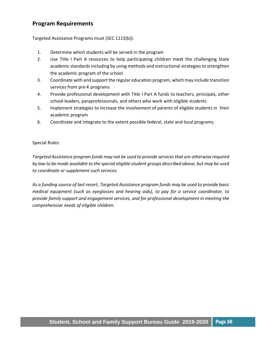# **Program Requirements**

Targeted Assistance Programs must (SEC 1115(b)):

- 1. Determine which students will be served in the program
- 2. Use Title I Part A resources to help participating children meet the challenging State academic standards including by using methods and instructional strategies to strengthen the academic program of the school
- 3. Coordinate with and support the regular education program, which may include transition services from pre-K programs
- 4. Provide professional development with Title I Part A funds to teachers, principals, other school leaders, paraprofessionals, and others who work with eligible students
- 5. Implement strategies to increase the involvement of parents of eligible students in their academic program
- 6. Coordinate and integrate to the extent possible federal, state and local programs.

#### Special Rules:

*Targeted Assistance program funds may not be used to provide services that are otherwise required by law to be made available to the special eligible student groups described above, but may be used to coordinate or supplement such services.*

*As a funding source of last resort, Targeted Assistance program funds may be used to provide basic medical equipment (such as eyeglasses and hearing aids), to pay for a service coordinator, to provide family support and engagement services, and for professional development in meeting the comprehensive needs of eligible children.*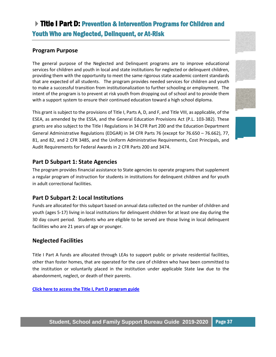# <span id="page-37-0"></span>Title I Part D: Prevention & Intervention Programs for Children and Youth Who are Neglected, Delinquent, or At-Risk

# **Program Purpose**

The general purpose of the Neglected and Delinquent programs are to improve educational services for children and youth in local and state institutions for neglected or delinquent children, providing them with the opportunity to meet the same rigorous state academic content standards that are expected of all students. The program provides needed services for children and youth to make a successful transition from institutionalization to further schooling or employment. The intent of the program is to prevent at risk youth from dropping out of school and to provide them with a support system to ensure their continued education toward a high school diploma.

This grant is subject to the provisions of Title I, Parts A, D, and F, and Title VIII, as applicable, of the ESEA, as amended by the ESSA, and the General Education Provisions Act (P.L. 103-382). These grants are also subject to the Title I Regulations in 34 CFR Part 200 and the Education Department General Administrative Regulations (EDGAR) in 34 CFR Parts 76 (except for 76.650 – 76.662), 77, 81, and 82, and 2 CFR 3485, and the Uniform Administrative Requirements, Cost Principals, and Audit Requirements for Federal Awards in 2 CFR Parts 200 and 3474.

# **Part D Subpart 1: State Agencies**

The program provides financial assistance to State agencies to operate programs that supplement a regular program of instruction for students in institutions for delinquent children and for youth in adult correctional facilities.

# **Part D Subpart 2: Local Institutions**

Funds are allocated for this subpart based on annual data collected on the number of children and youth (ages 5-17) living in local institutions for delinquent children for at least one day during the 30 day count period. Students who are eligible to be served are those living in local delinquent facilities who are 21 years of age or younger.

# **Neglected Facilities**

Title I Part A funds are allocated through LEAs to support public or private residential facilities, other than foster homes, that are operated for the care of children who have been committed to the institution or voluntarily placed in the institution under applicable State law due to the abandonment, neglect, or death of their parents.

**[Click here to access the Title I, Part D program guide](https://webnew.ped.state.nm.us/wp-content/uploads/2019/09/New-Mexico_Title-I-Part-D_Program-Guide.2.pdf)**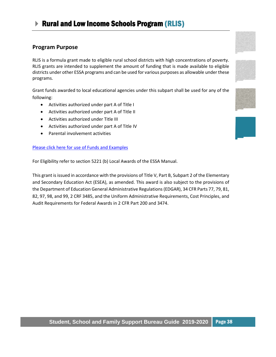# <span id="page-38-0"></span>▶ Rural and Low Income Schools Program (RLIS)

### **Program Purpose**

RLIS is a formula grant made to eligible rural school districts with high concentrations of poverty. RLIS grants are intended to supplement the amount of funding that is made available to eligible districts under other ESSA programs and can be used for various purposes as allowable under these programs.

Grant funds awarded to local educational agencies under this subpart shall be used for any of the following:

- Activities authorized under part A of Title I
- Activities authorized under part A of Title II
- Activities authorized under Title III
- Activities authorized under part A of Title IV
- Parental involvement activities

#### [Please click here for use of Funds and Examples](https://www2.ed.gov/programs/reaprlisp/index.html)

For Eligibility refer to section 5221 (b) Local Awards of the ESSA Manual.

This grant is issued in accordance with the provisions of Title V, Part B, Subpart 2 of the Elementary and Secondary Education Act (ESEA), as amended. This award is also subject to the provisions of the Department of Education General Administrative Regulations (EDGAR), 34 CFR Parts 77, 79, 81, 82, 97, 98, and 99, 2 CRF 3485, and the Uniform Administrative Requirements, Cost Principles, and Audit Requirements for Federal Awards in 2 CFR Part 200 and 3474.







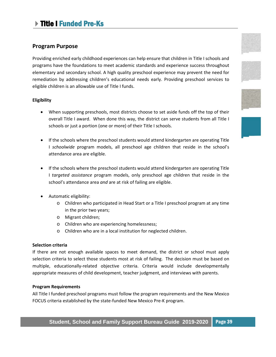# <span id="page-39-0"></span>Title I Funded Pre-Ks

### **Program Purpose**

Providing enriched early childhood experiences can help ensure that children in Title I schools and programs have the foundations to meet academic standards and experience success throughout elementary and secondary school. A high quality preschool experience may prevent the need for remediation by addressing children's educational needs early. Providing preschool services to eligible children is an allowable use of Title I funds.

#### **Eligibility**

- When supporting preschools, most districts choose to set aside funds off the top of their overall Title I award. When done this way, the district can serve students from all Title I schools or just a portion (one or more) of their Title I schools.
- If the schools where the preschool students would attend kindergarten are operating Title I *schoolwide* program models, all preschool age children that reside in the school's attendance area are eligible.
- If the schools where the preschool students would attend kindergarten are operating Title I *targeted assistance* program models, only preschool age children that reside in the school's attendance area *and* are at risk of failing are eligible.
- Automatic eligibility:
	- o Children who participated in Head Start or a Title I preschool program at any time in the prior two years;
	- o Migrant children;
	- o Children who are experiencing homelessness;
	- o Children who are in a local institution for neglected children.

#### **Selection criteria**

If there are not enough available spaces to meet demand, the district or school must apply selection criteria to select those students most at risk of failing. The decision must be based on multiple, educationally-related objective criteria. Criteria would include developmentally appropriate measures of child development, teacher judgment, and interviews with parents.

#### **Program Requirements**

All Title I funded preschool programs must follow the program requirements and the New Mexico FOCUS criteria established by the state-funded New Mexico Pre-K program.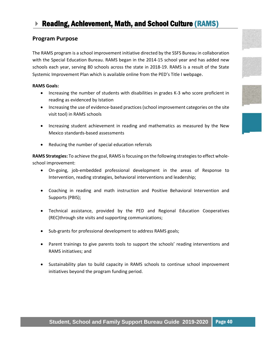# <span id="page-40-0"></span>Reading, Achievement, Math, and School Culture (RAMS)

### **Program Purpose**

The RAMS program is a school improvement initiative directed by the SSFS Bureau in collaboration with the Special Education Bureau. RAMS began in the 2014-15 school year and has added new schools each year, serving 80 schools across the state in 2018-19. RAMS is a result of the State Systemic Improvement Plan which is available online from the PED's Title I webpage.

#### **RAMS Goals:**

- Increasing the number of students with disabilities in grades K-3 who score proficient in reading as evidenced by Istation
- Increasing the use of evidence-based practices (school improvement categories on the site visit tool) in RAMS schools
- Increasing student achievement in reading and mathematics as measured by the New Mexico standards-based assessments
- Reducing the number of special education referrals

**RAMS Strategies:** To achieve the goal, RAMS is focusing on the following strategiesto effect wholeschool improvement:

- On-going, job-embedded professional development in the areas of Response to Intervention, reading strategies, behavioral interventions and leadership;
- Coaching in reading and math instruction and Positive Behavioral Intervention and Supports (PBIS);
- Technical assistance, provided by the PED and Regional Education Cooperatives (REC)through site visits and supporting communications;
- Sub-grants for professional development to address RAMS goals;
- Parent trainings to give parents tools to support the schools' reading interventions and RAMS initiatives; and
- Sustainability plan to build capacity in RAMS schools to continue school improvement initiatives beyond the program funding period.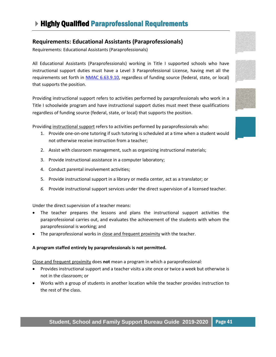# <span id="page-41-0"></span>**Requirements: Educational Assistants (Paraprofessionals)**

Requirements: Educational Assistants (Paraprofessionals)

All Educational Assistants (Paraprofessionals) working in Title I supported schools who have instructional support duties must have a Level 3 Paraprofessional License, having met all the requirements set forth in [NMAC 6.63.9.10,](http://164.64.110.134/parts/title06/06.063.0009.pdf) regardless of funding source (federal, state, or local) that supports the position.

Providing instructional support refers to activities performed by paraprofessionals who work in a Title I schoolwide program and have instructional support duties must meet these qualifications regardless of funding source (federal, state, or local) that supports the position.

Providing instructional support refers to activities performed by paraprofessionals who:

- 1. Provide one-on-one tutoring if such tutoring is scheduled at a time when a student would not otherwise receive instruction from a teacher;
- 2. Assist with classroom management, such as organizing instructional materials;
- 3. Provide instructional assistance in a computer laboratory;
- 4. Conduct parental involvement activities;
- 5. Provide instructional support in a library or media center, act as a translator; or
- *6.* Provide instructional support services under the direct supervision of a licensed teacher.

Under the direct supervision of a teacher means:

- The teacher prepares the lessons and plans the instructional support activities the paraprofessional carries out, and evaluates the achievement of the students with whom the paraprofessional is working; and
- The paraprofessional works in close and frequent proximity with the teacher.

#### **A program staffed entirely by paraprofessionals is not permitted.**

Close and frequent proximity does **not** mean a program in which a paraprofessional:

- Provides instructional support and a teacher visits a site once or twice a week but otherwise is not in the classroom; or
- Works with a group of students in another location while the teacher provides instruction to the rest of the class.





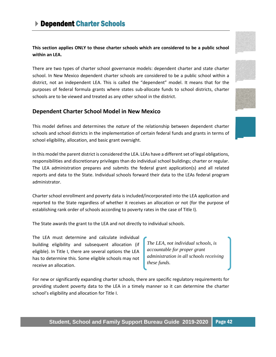<span id="page-42-0"></span>**This section applies ONLY to those charter schools which are considered to be a public school within an LEA.**

There are two types of charter school governance models: dependent charter and state charter school. In New Mexico dependent charter schools are considered to be a public school within a district, not an independent LEA. This is called the "dependent" model. It means that for the purposes of federal formula grants where states sub-allocate funds to school districts, charter schools are to be viewed and treated as any other school in the district.

### **Dependent Charter School Model in New Mexico**

This model defines and determines the *nature* of the relationship between dependent charter schools and school districts in the implementation of certain federal funds and grants in terms of school eligibility, allocation, and basic grant oversight.

In this model the parent district is considered the LEA. LEAs have a different set of legal obligations, responsibilities and discretionary privileges than do individual school buildings; charter or regular. The LEA administration prepares and submits the federal grant application(s) and all related reports and data to the State. Individual schools forward their data to the LEAs federal program administrator.

Charter school enrollment and poverty data is included/incorporated into the LEA application and reported to the State regardless of whether it receives an allocation or not (for the purpose of establishing rank order of schools according to poverty rates in the case of Title I).

The State awards the grant to the LEA and not directly to individual schools.

The LEA must determine and calculate individual building eligibility and subsequent allocation (if eligible). In Title I, there are several options the LEA has to determine this. Some eligible schools may not receive an allocation.

*The LEA, not individual schools, is accountable for proper grant administration in all schools receiving these funds.* 

For new or significantly expanding charter schools, there are specific regulatory requirements for providing student poverty data to the LEA in a timely manner so it can determine the charter school's eligibility and allocation for Title I.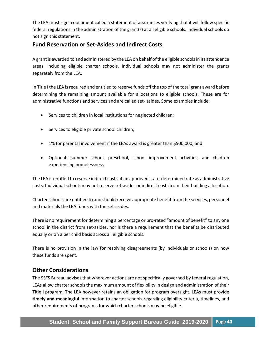The LEA must sign a document called a statement of assurances verifying that it will follow specific federal regulations in the administration of the grant(s) at all eligible schools. Individual schools do not sign this statement.

# **Fund Reservation or Set-Asides and Indirect Costs**

A grant is awarded to and administered by the LEA on behalf of the eligible schools in its attendance areas, including eligible charter schools. Individual schools may not administer the grants separately from the LEA.

In Title I the LEA is required and entitled to reserve funds off the top of the total grant award before determining the remaining amount available for allocations to eligible schools. These are for administrative functions and services and are called set- asides. Some examples include:

- Services to children in local institutions for neglected children;
- Services to eligible private school children;
- 1% for parental involvement if the LEAs award is greater than \$500,000; and
- Optional: summer school, preschool, school improvement activities, and children experiencing homelessness.

The LEA is entitled to reserve indirect costs at an approved state-determined rate as administrative costs. Individual schools may not reserve set-asides or indirect costs from their building allocation.

Charter schools are entitled to and should receive appropriate benefit from the services, personnel and materials the LEA funds with the set-asides.

There is no requirement for determining a percentage or pro-rated "amount of benefit" to any one school in the district from set-asides, nor is there a requirement that the benefits be distributed equally or on a per child basis across all eligible schools.

There is no provision in the law for resolving disagreements (by individuals or schools) on how these funds are spent.

# **Other Considerations**

The SSFS Bureau advises that wherever actions are not specifically governed by federal regulation, LEAs allow charter schools the maximum amount of flexibility in design and administration of their Title I program. The LEA however retains an obligation for program oversight. LEAs must provide **timely and meaningful** information to charter schools regarding eligibility criteria, timelines, and other requirements of programs for which charter schools may be eligible.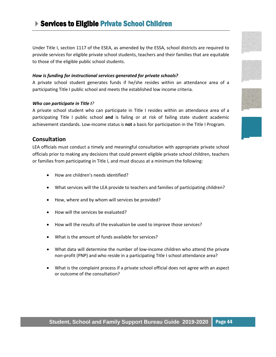# <span id="page-44-0"></span>▶ Services to Eligible Private School Children

Under Title I, section 1117 of the ESEA, as amended by the ESSA, school districts are required to provide services for eligible private school students, teachers and their families that are equitable to those of the eligible public school students.

#### *How is funding for instructional services generated for private schools?*

A private school student generates funds if he/she resides within an attendance area of a participating Title I public school and meets the established low income criteria.

#### *Who can participate in Title I?*

A private school student who can participate in Title I resides within an attendance area of a participating Title I public school **and** is failing or at risk of failing state student academic achievement standards. Low-income status is **not** a basis for participation in the Title I Program.

### **Consultation**

LEA officials must conduct a timely and meaningful consultation with appropriate private school officials prior to making any decisions that could prevent eligible private school children, teachers or families from participating in Title I, and must discuss at a minimum the following:

- How are children's needs identified?
- What services will the LEA provide to teachers and families of participating children?
- How, where and by whom will services be provided?
- How will the services be evaluated?
- How will the results of the evaluation be used to improve those services?
- What is the amount of funds available for services?
- What data will determine the number of low-income children who attend the private non-profit (PNP) and who reside in a participating Title I school attendance area?
- What is the complaint process if a private school official does not agree with an aspect or outcome of the consultation?









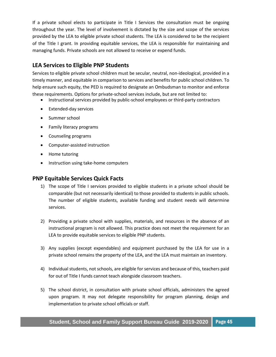If a private school elects to participate in Title I Services the consultation must be ongoing throughout the year. The level of involvement is dictated by the size and scope of the services provided by the LEA to eligible private school students. The LEA is considered to be the recipient of the Title I grant. In providing equitable services, the LEA is responsible for maintaining and managing funds. Private schools are not allowed to receive or expend funds.

# **LEA Services to Eligible PNP Students**

Services to eligible private school children must be secular, neutral, non-ideological, provided in a timely manner, and equitable in comparison to services and benefits for public school children. To help ensure such equity, the PED is required to designate an Ombudsman to monitor and enforce these requirements. Options for private-school services include, but are not limited to:

- Instructional services provided by public-school employees or third-party contractors
- Extended-day services
- Summer school
- Family literacy programs
- Counseling programs
- Computer-assisted instruction
- Home tutoring
- Instruction using take-home computers

### **PNP Equitable Services Quick Facts**

- 1) The scope of Title I services provided to eligible students in a private school should be comparable (but not necessarily identical) to those provided to students in public schools. The number of eligible students, available funding and student needs will determine services.
- 2) Providing a private school with supplies, materials, and resources in the absence of an instructional program is not allowed. This practice does not meet the requirement for an LEA to provide equitable services to eligible PNP students.
- 3) Any supplies (except expendables) and equipment purchased by the LEA for use in a private school remains the property of the LEA, and the LEA must maintain an inventory.
- 4) Individual students, not schools, are eligible for services and because of this, teachers paid for out of Title I funds cannot teach alongside classroom teachers.
- 5) The school district, in consultation with private school officials, administers the agreed upon program. It may not delegate responsibility for program planning, design and implementation to private school officials or staff.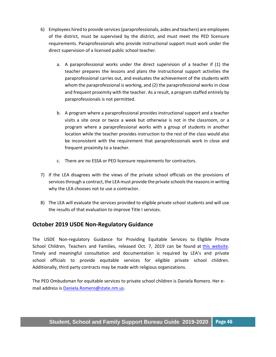- 6) Employees hired to provide services(paraprofessionals, aides and teachers) are employees of the district, must be supervised by the district, and must meet the PED licensure requirements. Paraprofessionals who provide instructional support must work under the direct supervision of a licensed public school teacher.
	- a. A paraprofessional works under the direct supervision of a teacher if (1) the teacher prepares the lessons and plans the instructional support activities the paraprofessional carries out, and evaluates the achievement of the students with whom the paraprofessional is working, and (2) the paraprofessional works in close and frequent proximity with the teacher. As a result, a program staffed entirely by paraprofessionals is not permitted.
	- b. A program where a paraprofessional provides instructional support and a teacher visits a site once or twice a week but otherwise is not in the classroom, or a program where a paraprofessional works with a group of students in another location while the teacher provides instruction to the rest of the class would also be inconsistent with the requirement that paraprofessionals work in close and frequent proximity to a teacher.
	- c. There are no ESSA or PED licensure requirements for contractors.
- 7) If the LEA disagrees with the views of the private school officials on the provisions of services through a contract, the LEA must provide the private schools the reasons in writing why the LEA chooses not to use a contractor.
- 8) The LEA will evaluate the services provided to eligible private school students and will use the results of that evaluation to improve Title I services.

# **October 2019 USDE Non-Regulatory Guidance**

The USDE Non-regulatory Guidance for Providing Equitable Services to Eligible Private School Children, Teachers and Families, released Oct. 7, 2019 can be found at this [website.](http://www2.ed.gov/about/inits/ed/non-public-education/files/equitable-services-guidance-100419.pdf)  Timely and meaningful consultation and documentation is required by LEA's and private school officials to provide equitable services for eligible private school children. Additionally, third party contracts may be made with religious organizations.

The PED Ombudsman for equitable services to private school children is Daniela Romero. Her email address is Daniela.Romero@state.nm.us.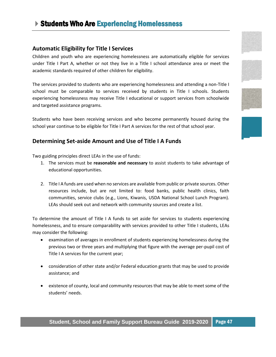# <span id="page-47-0"></span>**Students Who Are Experiencing Homelessness**

### **Automatic Eligibility for Title I Services**

Children and youth who are experiencing homelessness are automatically eligible for services under Title I Part A, whether or not they live in a Title I school attendance area or meet the academic standards required of other children for eligibility.

The services provided to students who are experiencing homelessness and attending a non-Title I school must be comparable to services received by students in Title I schools. Students experiencing homelessness may receive Title I educational or support services from schoolwide and targeted assistance programs.

Students who have been receiving services and who become permanently housed during the school year continue to be eligible for Title I Part A services for the rest of that school year.

### **Determining Set-aside Amount and Use of Title I A Funds**

Two guiding principles direct LEAs in the use of funds:

- 1. The services must be **reasonable and necessary** to assist students to take advantage of educational opportunities.
- 2. Title I A funds are used when no services are available from public or private sources. Other resources include, but are not limited to: food banks, public health clinics, faith communities, service clubs (e.g., Lions, Kiwanis, USDA National School Lunch Program). LEAs should seek out and network with community sources and create a list.

To determine the amount of Title I A funds to set aside for services to students experiencing homelessness, and to ensure comparability with services provided to other Title I students, LEAs may consider the following:

- examination of averages in enrollment of students experiencing homelessness during the previous two or three years and multiplying that figure with the average per-pupil cost of Title I A services for the current year;
- consideration of other state and/or Federal education grants that may be used to provide assistance; and
- existence of county, local and community resources that may be able to meet some of the students' needs.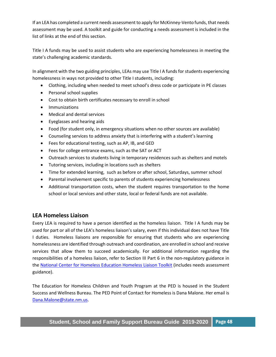If an LEA has completed a current needs assessment to apply for McKinney-Vento funds, that needs assessment may be used. A toolkit and guide for conducting a needs assessment is included in the list of links at the end of this section.

Title I A funds may be used to assist students who are experiencing homelessness in meeting the state's challenging academic standards.

In alignment with the two guiding principles, LEAs may use Title I A funds for students experiencing homelessness in ways not provided to other Title I students, including:

- Clothing, including when needed to meet school's dress code or participate in PE classes
- Personal school supplies
- Cost to obtain birth certificates necessary to enroll in school
- Immunizations
- Medical and dental services
- Eyeglasses and hearing aids
- Food (for student only, in emergency situations when no other sources are available)
- Counseling services to address anxiety that is interfering with a student's learning
- Fees for educational testing, such as AP, IB, and GED
- Fees for college entrance exams, such as the SAT or ACT
- Outreach services to students living in temporary residences such as shelters and motels
- Tutoring services, including in locations such as shelters
- Time for extended learning, such as before or after school, Saturdays, summer school
- Parental involvement specific to parents of students experiencing homelessness
- Additional transportation costs, when the student requires transportation to the home school or local services and other state, local or federal funds are not available.

# **LEA Homeless Liaison**

Every LEA is required to have a person identified as the homeless liaison. Title I A funds may be used for part or all of the LEA's homeless liaison's salary, even if this individual does not have Title I duties. Homeless liaisons are responsible for ensuring that students who are experiencing homelessness are identified through outreach and coordination, are enrolled in school and receive services that allow them to succeed academically. For additional information regarding the responsibilities of a homeless liaison, refer to Section III Part 6 in the non-regulatory guidance in the [National Center for Homeless Education Homeless Liaison Toolkit](https://nche.ed.gov/homeless-liaison-toolkit/) (includes needs assessment guidance).

The Education for Homeless Children and Youth Program at the PED is housed in the Student Success and Wellness Bureau. The PED Point of Contact for Homeless is Dana Malone. Her email is [Dana.Malone@state.nm.us.](mailto:Dana.Malone@state.nm.us)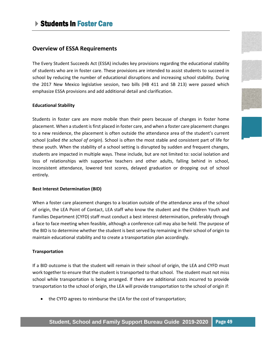### <span id="page-49-0"></span>**Overview of ESSA Requirements**

The Every Student Succeeds Act (ESSA) includes key provisions regarding the educational stability of students who are in foster care. These provisions are intended to assist students to succeed in school by reducing the number of educational disruptions and increasing school stability. During the 2017 New Mexico legislative session, two bills (HB 411 and SB 213) were passed which emphasize ESSA provisions and add additional detail and clarification.

#### **Educational Stability**

Students in foster care are more mobile than their peers because of changes in foster home placement. When a student is first placed in foster care, and when a foster care placement changes to a new residence, the placement is often outside the attendance area of the student's current school (called *the school of origin*). School is often the most stable and consistent part of life for these youth. When the stability of a school setting is disrupted by sudden and frequent changes, students are impacted in multiple ways. These include, but are not limited to: social isolation and loss of relationships with supportive teachers and other adults, falling behind in school, inconsistent attendance, lowered test scores, delayed graduation or dropping out of school entirely.

#### **Best Interest Determination (BID)**

When a foster care placement changes to a location outside of the attendance area of the school of origin, the LEA Point of Contact, LEA staff who know the student and the Children Youth and Families Department (CYFD) staff must conduct a best interest determination, preferably through a face to face meeting when feasible, although a conference call may also be held. The purpose of the BID is to determine whether the student is best served by remaining in their school of origin to maintain educational stability and to create a transportation plan accordingly.

#### **Transportation**

If a BID outcome is that the student will remain in their school of origin, the LEA and CYFD must work together to ensure that the student is transported to that school. The student must not miss school while transportation is being arranged. If there are additional costs incurred to provide transportation to the school of origin, the LEA will provide transportation to the school of origin if:

• the CYFD agrees to reimburse the LEA for the cost of transportation;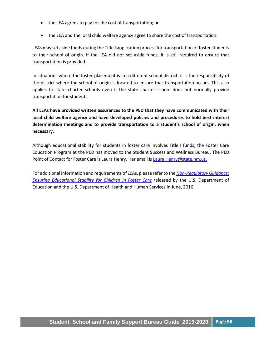- the LEA agrees to pay for the cost of transportation; or
- the LEA and the local child welfare agency agree to share the cost of transportation.

LEAs may set aside funds during the Title I application process for transportation of foster students to their school of origin. If the LEA did not set aside funds, it is still required to ensure that transportation is provided.

In situations where the foster placement is in a different school district, it is the responsibility of the district where the school of origin is located to ensure that transportation occurs. This also applies to state charter schools even if the state charter school does not normally provide transportation for students.

**All LEAs have provided written assurances to the PED that they have communicated with their local child welfare agency and have developed policies and procedures to hold best interest determination meetings and to provide transportation to a student's school of origin, when necessary.**

Although educational stability for students in foster care involves Title I funds, the Foster Care Education Program at the PED has moved to the Student Success and Wellness Bureau. The PED Point of Contact for Foster Care is Laura Henry. Her email is [Laura.Henry@state.nm.us.](mailto:Laura.Henry@state.nm.us)

For additional information and requirements of LEAs, please refer to the *[Non-Regulatory Guidance:](https://www2.ed.gov/policy/elsec/leg/essa/edhhsfostercarenonregulatorguide.pdf)  [Ensuring Educational Stability for Children in Foster Care](https://www2.ed.gov/policy/elsec/leg/essa/edhhsfostercarenonregulatorguide.pdf)* released by the U.S. Department of Education and the U.S. Department of Health and Human Services in June, 2016.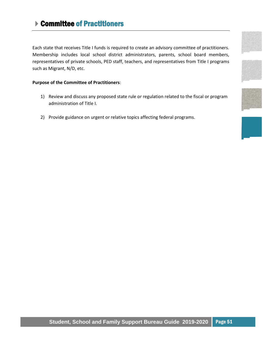# <span id="page-51-0"></span>**▶ Committee of Practitioners**

Each state that receives Title I funds is required to create an advisory committee of practitioners. Membership includes local school district administrators, parents, school board members, representatives of private schools, PED staff, teachers, and representatives from Title I programs such as Migrant, N/D, etc.

#### **Purpose of the Committee of Practitioners**:

- 1) Review and discuss any proposed state rule or regulation related to the fiscal or program administration of Title I.
- 2) Provide guidance on urgent or relative topics affecting federal programs.









### **Student, School and Family Support Bureau Guide 2019-2020** Page 51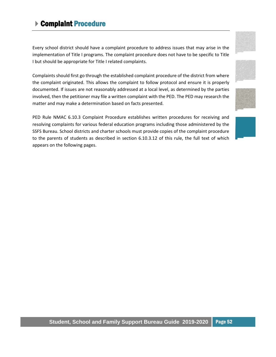# <span id="page-52-0"></span>Complaint Procedure

Every school district should have a complaint procedure to address issues that may arise in the implementation of Title I programs. The complaint procedure does not have to be specific to Title I but should be appropriate for Title I related complaints.

Complaints should first go through the established complaint procedure of the district from where the complaint originated. This allows the complaint to follow protocol and ensure it is properly documented. If issues are not reasonably addressed at a local level, as determined by the parties involved, then the petitioner may file a written complaint with the PED. The PED may research the matter and may make a determination based on facts presented.

PED Rule NMAC 6.10.3 Complaint Procedure establishes written procedures for receiving and resolving complaints for various federal education programs including those administered by the SSFS Bureau. School districts and charter schools must provide copies of the complaint procedure to the parents of students as described in section 6.10.3.12 of this rule, the full text of which appears on the following pages.







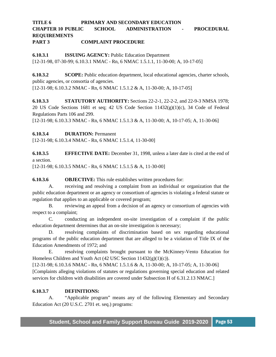### **TITLE 6 PRIMARY AND SECONDARY EDUCATION CHAPTER 10 PUBLIC SCHOOL ADMINISTRATION - PROCEDURAL REQUIREMENTS PART 3 COMPLAINT PROCEDURE**

**6.10.3.1 ISSUING AGENCY:** Public Education Department [12-31-98, 07-30-99; 6.10.3.1 NMAC - Rn, 6 NMAC 1.5.1.1, 11-30-00; A, 10-17-05]

**6.10.3.2 SCOPE:** Public education department, local educational agencies, charter schools, public agencies, or consortia of agencies.

[12-31-98; 6.10.3.2 NMAC - Rn, 6 NMAC 1.5.1.2 & A, 11-30-00; A, 10-17-05]

**6.10.3.3 STATUTORY AUTHORITY:** Sections 22-2-1, 22-2-2, and 22-9-3 NMSA 1978; 20 US Code Sections 1681 et seq; 42 US Code Section  $11432(g)(1)(c)$ , 34 Code of Federal Regulations Parts 106 and 299.

[12-31-98; 6.10.3.3 NMAC - Rn, 6 NMAC 1.5.1.3 & A, 11-30-00; A, 10-17-05; A, 11-30-06]

**6.10.3.4 DURATION:** Permanent

[12-31-98; 6.10.3.4 NMAC - Rn, 6 NMAC 1.5.1.4, 11-30-00]

**6.10.3.5 EFFECTIVE DATE:** December 31, 1998, unless a later date is cited at the end of a section.

[12-31-98; 6.10.3.5 NMAC - Rn, 6 NMAC 1.5.1.5 & A, 11-30-00]

**6.10.3.6 OBJECTIVE:** This rule establishes written procedures for:

A. receiving and resolving a complaint from an individual or organization that the public education department or an agency or consortium of agencies is violating a federal statute or regulation that applies to an applicable or covered program;

B. reviewing an appeal from a decision of an agency or consortium of agencies with respect to a complaint;

C. conducting an independent on-site investigation of a complaint if the public education department determines that an on-site investigation is necessary;

D. resolving complaints of discrimination based on sex regarding educational programs of the public education department that are alleged to be a violation of Title IX of the Education Amendments of 1972; and

E. resolving complaints brought pursuant to the McKinney-Vento Education for Homeless Children and Youth Act (42 USC Section 11432(g)(1)(c)).

[12-31-98; 6.10.3.6 NMAC - Rn, 6 NMAC 1.5.1.6 & A, 11-30-00; A, 10-17-05; A, 11-30-06] [Complaints alleging violations of statutes or regulations governing special education and related services for children with disabilities are covered under Subsection H of 6.31.2.13 NMAC.]

#### **6.10.3.7 DEFINITIONS:**

A. "Applicable program" means any of the following Elementary and Secondary Education Act (20 U.S.C. 2701 et. seq.) programs: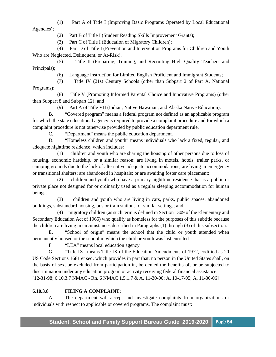(1) Part A of Title I (Improving Basic Programs Operated by Local Educational Agencies);

(2) Part B of Title I (Student Reading Skills Improvement Grants);

(3) Part C of Title I (Education of Migratory Children);

 (4) Part D of Title I (Prevention and Intervention Programs for Children and Youth Who are Neglected, Delinquent, or At-Risk):

 (5) Title II (Preparing, Training, and Recruiting High Quality Teachers and Principals);

(6) Language Instruction for Limited English Proficient and Immigrant Students;

(7) Title IV (21st Century Schools (other than Subpart 2 of Part A, National

Programs);

 (8) Title V (Promoting Informed Parental Choice and Innovative Programs) (other than Subpart 8 and Subpart 12); and

(9) Part A of Title VII (Indian, Native Hawaiian, and Alaska Native Education).

B. "Covered program" means a federal program not defined as an applicable program for which the state educational agency is required to provide a complaint procedure and for which a complaint procedure is not otherwise provided by public education department rule.

C. "Department" means the public education department.

D. "Homeless children and youth" means individuals who lack a fixed, regular, and adequate nighttime residence, which includes:

 (1) children and youth who are sharing the housing of other persons due to loss of housing, economic hardship, or a similar reason; are living in motels, hotels, trailer parks, or camping grounds due to the lack of alternative adequate accommodations; are living in emergency or transitional shelters; are abandoned in hospitals; or are awaiting foster care placement;

 (2) children and youth who have a primary nighttime residence that is a public or private place not designed for or ordinarily used as a regular sleeping accommodation for human beings;

 (3) children and youth who are living in cars, parks, public spaces, abandoned buildings, substandard housing, bus or train stations, or similar settings; and

 (4) migratory children (as such term is defined in Section 1309 of the Elementary and Secondary Education Act of 1965) who qualify as homeless for the purposes of this subtitle because the children are living in circumstances described in Paragraphs (1) through (3) of this subsection.

E. "School of origin" means the school that the child or youth attended when permanently housed or the school in which the child or youth was last enrolled.

F. "LEA" means local education agency.

G. "Title IX" means Title IX of the Education Amendments of 1972, codified as 20 US Code Sections 1681 et seq, which provides in part that, no person in the United States shall, on the basis of sex, be excluded from participation in, be denied the benefits of, or be subjected to discrimination under any education program or activity receiving federal financial assistance. [12-31-98; 6.10.3.7 NMAC - Rn, 6 NMAC 1.5.1.7 & A, 11-30-00; A, 10-17-05; A, 11-30-06]

#### **6.10.3.8 FILING A COMPLAINT:**

A. The department will accept and investigate complaints from organizations or individuals with respect to applicable or covered programs. The complaint must: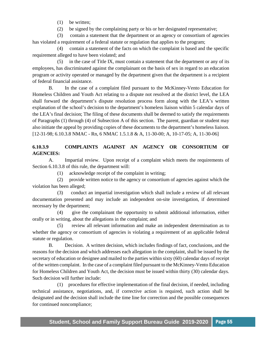(1) be written;

(2) be signed by the complaining party or his or her designated representative;

 (3) contain a statement that the department or an agency or consortium of agencies has violated a requirement of a federal statute or regulation that applies to the program;

 (4) contain a statement of the facts on which the complaint is based and the specific requirement alleged to have been violated; and

 (5) in the case of Title IX, must contain a statement that the department or any of its employees, has discriminated against the complainant on the basis of sex in regard to an education program or activity operated or managed by the department given that the department is a recipient of federal financial assistance.

B. In the case of a complaint filed pursuant to the McKinney-Vento Education for Homeless Children and Youth Act relating to a dispute not resolved at the district level, the LEA shall forward the department's dispute resolution process form along with the LEA's written explanation of the school's decision to the department's homeless liaison within 5 calendar days of the LEA's final decision; The filing of these documents shall be deemed to satisfy the requirements of Paragraphs (1) through (4) of Subsection A of this section. The parent, guardian or student may also initiate the appeal by providing copies of these documents to the department's homeless liaison. [12-31-98; 6.10.3.8 NMAC - Rn, 6 NMAC 1.5.1.8 & A, 11-30-00; A, 10-17-05; A, 11-30-06]

### **6.10.3.9 COMPLAINTS AGAINST AN AGENCY OR CONSORTIUM OF AGENCIES:**

A. Impartial review. Upon receipt of a complaint which meets the requirements of Section 6.10.3.8 of this rule, the department will:

(1) acknowledge receipt of the complaint in writing;

 (2) provide written notice to the agency or consortium of agencies against which the violation has been alleged;

 (3) conduct an impartial investigation which shall include a review of all relevant documentation presented and may include an independent on-site investigation, if determined necessary by the department;

 (4) give the complainant the opportunity to submit additional information, either orally or in writing, about the allegations in the complaint; and

 (5) review all relevant information and make an independent determination as to whether the agency or consortium of agencies is violating a requirement of an applicable federal statute or regulation.

B. Decision. A written decision, which includes findings of fact, conclusions, and the reasons for the decision and which addresses each allegation in the complaint, shall be issued by the secretary of education or designee and mailed to the parties within sixty (60) calendar days of receipt of the written complaint. In the case of a complaint filed pursuant to the McKinney-Vento Education for Homeless Children and Youth Act, the decision must be issued within thirty (30) calendar days. Such decision will further include:

 (1) procedures for effective implementation of the final decision, if needed, including technical assistance, negotiations, and, if corrective action is required, such action shall be designated and the decision shall include the time line for correction and the possible consequences for continued noncompliance;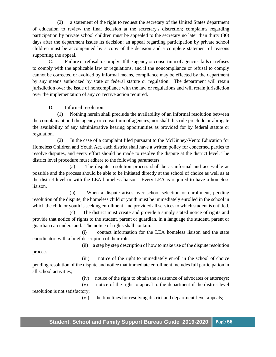(2) a statement of the right to request the secretary of the United States department of education to review the final decision at the secretary's discretion; complaints regarding participation by private school children must be appealed to the secretary no later than thirty (30) days after the department issues its decision; an appeal regarding participation by private school children must be accompanied by a copy of the decision and a complete statement of reasons supporting the appeal.

C. Failure or refusal to comply. If the agency or consortium of agencies fails or refuses to comply with the applicable law or regulations, and if the noncompliance or refusal to comply cannot be corrected or avoided by informal means, compliance may be effected by the department by any means authorized by state or federal statute or regulation. The department will retain jurisdiction over the issue of noncompliance with the law or regulations and will retain jurisdiction over the implementation of any corrective action required.

D. Informal resolution.

 (1) Nothing herein shall preclude the availability of an informal resolution between the complainant and the agency or consortium of agencies, nor shall this rule preclude or abrogate the availability of any administrative hearing opportunities as provided for by federal statute or regulation.

 (2) In the case of a complaint filed pursuant to the McKinney-Vento Education for Homeless Children and Youth Act, each district shall have a written policy for concerned parties to resolve disputes, and every effort should be made to resolve the dispute at the district level. The district level procedure must adhere to the following parameters:

 (a) The dispute resolution process shall be as informal and accessible as possible and the process should be able to be initiated directly at the school of choice as well as at the district level or with the LEA homeless liaison. Every LEA is required to have a homeless liaison.

 (b) When a dispute arises over school selection or enrollment, pending resolution of the dispute, the homeless child or youth must be immediately enrolled in the school in which the child or youth is seeking enrollment, and provided all services to which student is entitled.

 (c) The district must create and provide a simply stated notice of rights and provide that notice of rights to the student, parent or guardian, in a language the student, parent or guardian can understand. The notice of rights shall contain:

 (i) contact information for the LEA homeless liaison and the state coordinator, with a brief description of their roles;

(ii) a step by step description of how to make use of the dispute resolution

process;

 (iii) notice of the right to immediately enroll in the school of choice pending resolution of the dispute and notice that immediate enrollment includes full participation in all school activities;

(iv) notice of the right to obtain the assistance of advocates or attorneys;

 (v) notice of the right to appeal to the department if the district-level resolution is not satisfactory;

(vi) the timelines for resolving district and department-level appeals;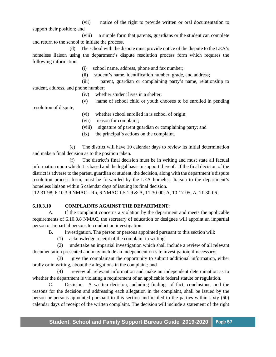(vii) notice of the right to provide written or oral documentation to support their position; and

 (viii) a simple form that parents, guardians or the student can complete and return to the school to initiate the process.

 (d) The school with the dispute must provide notice of the dispute to the LEA's homeless liaison using the department's dispute resolution process form which requires the following information:

(i) school name, address, phone and fax number;

(ii) student's name, identification number, grade, and address;

 (iii) parent, guardian or complaining party's name, relationship to student, address, and phone number;

- (iv) whether student lives in a shelter;
- (v) name of school child or youth chooses to be enrolled in pending

resolution of dispute;

- (vi) whether school enrolled in is school of origin;
- (vii) reason for complaint;
- (viii) signature of parent guardian or complaining party; and
- (ix) the principal's actions on the complaint.

 (e) The district will have 10 calendar days to review its initial determination and make a final decision as to the position taken.

 (f) The district's final decision must be in writing and must state all factual information upon which it is based and the legal basis in support thereof. If the final decision of the district is adverse to the parent, guardian or student, the decision, along with the department's dispute resolution process form, must be forwarded by the LEA homeless liaison to the department's homeless liaison within 5 calendar days of issuing its final decision.

[12-31-98; 6.10.3.9 NMAC - Rn, 6 NMAC 1.5.1.9 & A, 11-30-00; A, 10-17-05, A, 11-30-06]

#### **6.10.3.10 COMPLAINTS AGAINST THE DEPARTMENT:**

A. If the complaint concerns a violation by the department and meets the applicable requirements of 6.10.3.8 NMAC, the secretary of education or designee will appoint an impartial person or impartial persons to conduct an investigation.

B. Investigation. The person or persons appointed pursuant to this section will:

(1) acknowledge receipt of the complaint in writing;

 (2) undertake an impartial investigation which shall include a review of all relevant documentation presented and may include an independent on-site investigation, if necessary;

 (3) give the complainant the opportunity to submit additional information, either orally or in writing, about the allegations in the complaint; and

 (4) review all relevant information and make an independent determination as to whether the department is violating a requirement of an applicable federal statute or regulation.

C. Decision. A written decision, including findings of fact, conclusions, and the reasons for the decision and addressing each allegation in the complaint, shall be issued by the person or persons appointed pursuant to this section and mailed to the parties within sixty (60) calendar days of receipt of the written complaint. The decision will include a statement of the right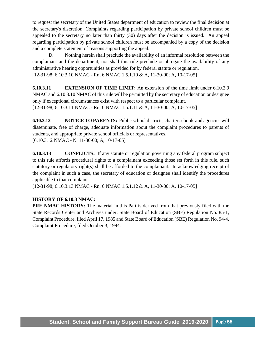to request the secretary of the United States department of education to review the final decision at the secretary's discretion. Complaints regarding participation by private school children must be appealed to the secretary no later than thirty (30) days after the decision is issued. An appeal regarding participation by private school children must be accompanied by a copy of the decision and a complete statement of reasons supporting the appeal.

D. Nothing herein shall preclude the availability of an informal resolution between the complainant and the department, nor shall this rule preclude or abrogate the availability of any administrative hearing opportunities as provided for by federal statute or regulation. [12-31-98; 6.10.3.10 NMAC - Rn, 6 NMAC 1.5.1.10 & A, 11-30-00; A, 10-17-05]

**6.10.3.11 EXTENSION OF TIME LIMIT:** An extension of the time limit under 6.10.3.9 NMAC and 6.10.3.10 NMAC of this rule will be permitted by the secretary of education or designee only if exceptional circumstances exist with respect to a particular complaint. [12-31-98; 6.10.3.11 NMAC - Rn, 6 NMAC 1.5.1.11 & A, 11-30-00; A, 10-17-05]

**6.10.3.12 NOTICE TO PARENTS:** Public school districts, charter schools and agencies will disseminate, free of charge, adequate information about the complaint procedures to parents of students, and appropriate private school officials or representatives. [6.10.3.12 NMAC - N, 11-30-00; A, 10-17-05]

**6.10.3.13 CONFLICTS:** If any statute or regulation governing any federal program subject to this rule affords procedural rights to a complainant exceeding those set forth in this rule, such statutory or regulatory right(s) shall be afforded to the complainant. In acknowledging receipt of the complaint in such a case, the secretary of education or designee shall identify the procedures applicable to that complaint.

[12-31-98; 6.10.3.13 NMAC - Rn, 6 NMAC 1.5.1.12 & A, 11-30-00; A, 10-17-05]

### **HISTORY OF 6.10.3 NMAC:**

**PRE-NMAC HISTORY:** The material in this Part is derived from that previously filed with the State Records Center and Archives under: State Board of Education (SBE) Regulation No. 85-1, Complaint Procedure, filed April 17, 1985 and State Board of Education (SBE) Regulation No. 94-4, Complaint Procedure, filed October 3, 1994.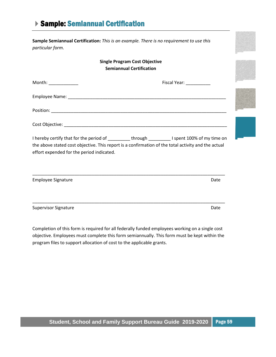# Sample: Semiannual Certification

**Sample Semiannual Certification:** *This is an example. There is no requirement to use this particular form.*

### <span id="page-59-0"></span>**Single Program Cost Objective Semiannual Certification**

| Month: ______________                                                                                                                                                                                                                              | Fiscal Year: The Sales of the Sales of the Sales of the Sales of the Sales of the Sales of the Sales of the Sa |  |
|----------------------------------------------------------------------------------------------------------------------------------------------------------------------------------------------------------------------------------------------------|----------------------------------------------------------------------------------------------------------------|--|
|                                                                                                                                                                                                                                                    |                                                                                                                |  |
|                                                                                                                                                                                                                                                    |                                                                                                                |  |
|                                                                                                                                                                                                                                                    |                                                                                                                |  |
| I hereby certify that for the period of _________ through _________ I spent 100% of my time on<br>the above stated cost objective. This report is a confirmation of the total activity and the actual<br>effort expended for the period indicated. |                                                                                                                |  |
| <b>Employee Signature</b>                                                                                                                                                                                                                          | Date                                                                                                           |  |

Supervisor Signature Date Date Communications and Date Date Date

Completion of this form is required for all federally funded employees working on a single cost objective. Employees must complete this form semiannually. This form must be kept within the program files to support allocation of cost to the applicable grants.

\_\_\_\_\_\_\_\_\_\_\_\_\_\_\_\_\_\_\_\_\_\_\_\_\_\_\_\_\_\_\_\_\_\_\_\_\_\_\_\_\_\_\_\_\_\_\_\_\_\_\_\_\_\_\_\_\_\_\_\_\_\_\_\_\_\_\_\_\_\_\_\_\_\_\_\_\_\_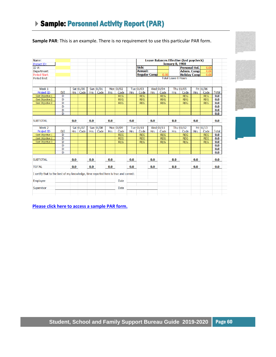<span id="page-60-0"></span>**Sample PAR**: This is an example. There is no requirement to use this particular PAR form.

|                                                                                     |                |     |            |            |           |            |             |            | Leave Balances Effective (last paycheck)<br><b>January 0, 1900</b> |            |            |                            |                      |            |            |              |
|-------------------------------------------------------------------------------------|----------------|-----|------------|------------|-----------|------------|-------------|------------|--------------------------------------------------------------------|------------|------------|----------------------------|----------------------|------------|------------|--------------|
| Project ID:                                                                         |                |     |            |            |           |            |             |            |                                                                    |            |            |                            |                      |            |            |              |
| ID $#$ :                                                                            |                |     |            |            |           |            |             |            | Sick:                                                              |            |            |                            | <b>Personal Hol.</b> |            | 0.00       |              |
| Department:                                                                         |                |     |            |            |           |            |             |            | <b>Annual:</b>                                                     |            |            |                            | <b>Admin. Comp:</b>  |            | 0.00       |              |
| Period Start:                                                                       |                |     |            |            |           |            |             |            | <b>Regular Comp</b>                                                |            | 0.00       |                            | <b>Holiday Comp</b>  |            | 0.00       |              |
| Period End:                                                                         |                |     |            |            |           |            |             |            |                                                                    |            |            | <b>Total Leave 0 Hours</b> |                      |            |            |              |
|                                                                                     |                |     |            |            |           |            |             |            |                                                                    |            |            |                            |                      |            |            |              |
|                                                                                     |                |     |            |            |           |            |             |            |                                                                    |            |            |                            |                      |            |            |              |
| Week 1                                                                              |                |     | Sat 01/00  |            | Sun 01/01 |            | Mon 01/02   |            | Tue 01/03                                                          |            | Wed 01/04  |                            | Thu 01/05            |            | Fri 01/06  |              |
| Project ID                                                                          | D/I            |     | Hrs   Code | <b>Hrs</b> | Code      | <b>Hrs</b> | Code        | <b>Hrs</b> | Code                                                               | <b>Hrs</b> | Code       | <b>Hrs</b>                 | Code                 | <b>Hrs</b> | Code       | <b>Total</b> |
| Cost Objective 1                                                                    | D              |     |            |            |           |            | <b>REG</b>  |            | <b>REG</b>                                                         |            | <b>REG</b> |                            | <b>REG</b>           |            | <b>REG</b> | 0.0          |
| Cost Objective 2                                                                    | D              |     |            |            |           |            | <b>REG</b>  |            | <b>REG</b>                                                         |            | <b>REG</b> |                            | <b>REG</b>           |            | <b>REG</b> | 0.0          |
| Cost Objective 3                                                                    | D              |     |            |            |           |            | <b>REG</b>  |            | <b>REG</b>                                                         |            | <b>REG</b> |                            | <b>REG</b>           |            | <b>REG</b> | 0.0          |
|                                                                                     | D              |     |            |            |           |            |             |            |                                                                    |            |            |                            |                      |            |            | 0.0          |
|                                                                                     | D              |     |            |            |           |            |             |            |                                                                    |            |            |                            |                      |            |            | 0.0          |
|                                                                                     | $\overline{D}$ |     |            |            |           |            |             |            |                                                                    |            |            |                            |                      |            |            | 0.0          |
|                                                                                     |                |     |            |            |           |            |             |            |                                                                    |            |            |                            |                      |            |            |              |
| <b>SUBTOTAL</b>                                                                     |                | 0.0 |            | 0.0        |           | 0.0        |             | 0.0        |                                                                    | 0.0        |            | 0.0                        |                      | 0.0        |            | 0.0          |
| Week 2                                                                              |                |     | Sat 01/07  |            | Sun 01/08 |            | Mon 01/09   |            | Tue 01/10                                                          |            | Wed 01/11  |                            | Thu 01/12            |            | Fri 01/13  |              |
| <b>Project ID</b>                                                                   | D/I            | Hrs | Code       | <b>Hrs</b> | Code      | <b>Hrs</b> | Code        | <b>Hrs</b> | Code                                                               | <b>Hrs</b> | Code       | <b>Hrs</b>                 | Code                 | <b>Hrs</b> | Code       | <b>Total</b> |
| Cost Objective 1                                                                    | D              |     |            |            |           |            | <b>REG</b>  |            | <b>REG</b>                                                         |            | <b>REG</b> |                            | <b>REG</b>           |            | <b>REG</b> | 0.0          |
| Cost Objective 2                                                                    | D              |     |            |            |           |            | <b>REG</b>  |            | <b>REG</b>                                                         |            | <b>REG</b> |                            | <b>REG</b>           |            | <b>REG</b> | 0.0          |
| Cost Objective 3                                                                    | $\overline{D}$ |     |            |            |           |            | <b>REG</b>  |            | <b>REG</b>                                                         |            | <b>REG</b> |                            | <b>REG</b>           |            | <b>REG</b> | 0.0          |
|                                                                                     | D              |     |            |            |           |            |             |            |                                                                    |            |            |                            |                      |            |            | 0.0          |
|                                                                                     | D              |     |            |            |           |            |             |            |                                                                    |            |            |                            |                      |            |            | 0.0          |
|                                                                                     | D              |     |            |            |           |            |             |            |                                                                    |            |            |                            |                      |            |            | 0.0          |
|                                                                                     |                |     |            |            |           |            |             |            |                                                                    |            |            |                            |                      |            |            |              |
| <b>SUBTOTAL</b>                                                                     |                | 0.0 |            | 0.0        |           | 0.0        |             | 0.0        |                                                                    | 0.0        |            | 0.0                        |                      | 0.0        |            | 0.0          |
|                                                                                     |                |     |            |            |           |            |             |            |                                                                    |            |            |                            |                      |            |            |              |
| <b>TOTAL</b>                                                                        |                | 0.0 |            | 0.0        |           | 0.0        |             | 0.0        |                                                                    | 0.0        |            | 0.0                        |                      | 0.0        |            | 0.0          |
|                                                                                     |                |     |            |            |           |            |             |            |                                                                    |            |            |                            |                      |            |            |              |
| I certify that to the best of my knowledge, time reported here is true and correct: |                |     |            |            |           |            |             |            |                                                                    |            |            |                            |                      |            |            |              |
| Employee                                                                            |                |     |            |            |           |            | <b>Date</b> |            |                                                                    |            |            |                            |                      |            |            |              |
|                                                                                     |                |     |            |            |           |            |             |            |                                                                    |            |            |                            |                      |            |            |              |

**[Please click here to access a sample PAR form.](https://webnew.ped.state.nm.us/wp-content/uploads/2019/08/PAR-template.xlsx)** 



**Student, School and Family Support Bureau Guide 2019-2020** Page 60